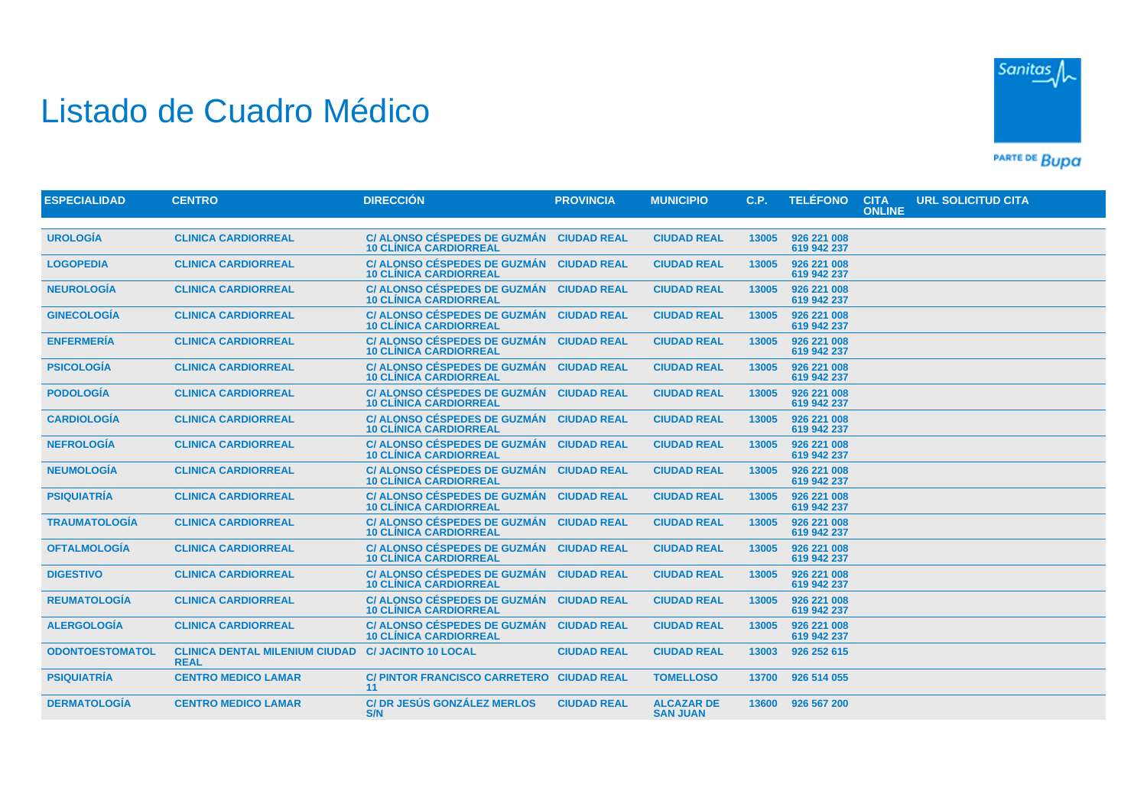## Listado de Cuadro Médico



PARTE DE BUDA

| <b>ESPECIALIDAD</b>    | <b>CENTRO</b>                                        | <b>DIRECCIÓN</b>                                                     | <b>PROVINCIA</b>   | <b>MUNICIPIO</b>                     | C.P.  | <b>TELÉFONO</b>            | <b>CITA</b><br><b>ONLINE</b> | <b>URL SOLICITUD CITA</b> |
|------------------------|------------------------------------------------------|----------------------------------------------------------------------|--------------------|--------------------------------------|-------|----------------------------|------------------------------|---------------------------|
|                        |                                                      |                                                                      |                    |                                      |       |                            |                              |                           |
| <b>UROLOGÍA</b>        | <b>CLINICA CARDIORREAL</b>                           | <b>C/ ALONSO CÉSPEDES DE GUZMÁN</b><br><b>10 CLÍNICA CARDIORREAL</b> | <b>CIUDAD REAL</b> | <b>CIUDAD REAL</b>                   | 13005 | 926 221 008<br>619 942 237 |                              |                           |
| <b>LOGOPEDIA</b>       | <b>CLINICA CARDIORREAL</b>                           | C/ ALONSO CÉSPEDES DE GUZMÁN<br><b>10 CLÍNICA CARDIORREAL</b>        | <b>CIUDAD REAL</b> | <b>CIUDAD REAL</b>                   | 13005 | 926 221 008<br>619 942 237 |                              |                           |
| <b>NEUROLOGÍA</b>      | <b>CLINICA CARDIORREAL</b>                           | C/ ALONSO CÉSPEDES DE GUZMÁN<br><b>10 CLÍNICA CARDIORREAL</b>        | <b>CIUDAD REAL</b> | <b>CIUDAD REAL</b>                   | 13005 | 926 221 008<br>619 942 237 |                              |                           |
| <b>GINECOLOGÍA</b>     | <b>CLINICA CARDIORREAL</b>                           | C/ ALONSO CÉSPEDES DE GUZMÁN<br><b>10 CLÍNICA CARDIORREAL</b>        | <b>CIUDAD REAL</b> | <b>CIUDAD REAL</b>                   | 13005 | 926 221 008<br>619 942 237 |                              |                           |
| <b>ENFERMERÍA</b>      | <b>CLINICA CARDIORREAL</b>                           | <b>C/ ALONSO CÉSPEDES DE GUZMÁN</b><br><b>10 CLINICA CARDIORREAL</b> | <b>CIUDAD REAL</b> | <b>CIUDAD REAL</b>                   | 13005 | 926 221 008<br>619 942 237 |                              |                           |
| <b>PSICOLOGÍA</b>      | <b>CLINICA CARDIORREAL</b>                           | C/ ALONSO CÉSPEDES DE GUZMÁN<br><b>10 CLÍNICA CARDIORREAL</b>        | <b>CIUDAD REAL</b> | <b>CIUDAD REAL</b>                   | 13005 | 926 221 008<br>619 942 237 |                              |                           |
| <b>PODOLOGÍA</b>       | <b>CLINICA CARDIORREAL</b>                           | C/ ALONSO CÉSPEDES DE GUZMÁN<br><b>10 CLÍNICA CARDIORREAL</b>        | <b>CIUDAD REAL</b> | <b>CIUDAD REAL</b>                   | 13005 | 926 221 008<br>619 942 237 |                              |                           |
| <b>CARDIOLOGÍA</b>     | <b>CLINICA CARDIORREAL</b>                           | C/ ALONSO CÉSPEDES DE GUZMÁN<br><b>10 CLÍNICA CARDIORREAL</b>        | <b>CIUDAD REAL</b> | <b>CIUDAD REAL</b>                   | 13005 | 926 221 008<br>619 942 237 |                              |                           |
| <b>NEFROLOGÍA</b>      | <b>CLINICA CARDIORREAL</b>                           | C/ ALONSO CÉSPEDES DE GUZMÁN<br><b>10 CLÍNICA CARDIORREAL</b>        | <b>CIUDAD REAL</b> | <b>CIUDAD REAL</b>                   | 13005 | 926 221 008<br>619 942 237 |                              |                           |
| <b>NEUMOLOGÍA</b>      | <b>CLINICA CARDIORREAL</b>                           | C/ ALONSO CÉSPEDES DE GUZMÁN<br><b>10 CLÍNICA CARDIORREAL</b>        | <b>CIUDAD REAL</b> | <b>CIUDAD REAL</b>                   | 13005 | 926 221 008<br>619 942 237 |                              |                           |
| <b>PSIQUIATRÍA</b>     | <b>CLINICA CARDIORREAL</b>                           | <b>C/ ALONSO CÉSPEDES DE GUZMÁN</b><br><b>10 CLÍNICA CARDIORREAL</b> | <b>CIUDAD REAL</b> | <b>CIUDAD REAL</b>                   | 13005 | 926 221 008<br>619 942 237 |                              |                           |
| <b>TRAUMATOLOGÍA</b>   | <b>CLINICA CARDIORREAL</b>                           | C/ ALONSO CÉSPEDES DE GUZMÁN<br><b>10 CLÍNICA CARDIORREAL</b>        | <b>CIUDAD REAL</b> | <b>CIUDAD REAL</b>                   | 13005 | 926 221 008<br>619 942 237 |                              |                           |
| <b>OFTALMOLOGÍA</b>    | <b>CLINICA CARDIORREAL</b>                           | C/ ALONSO CÉSPEDES DE GUZMÁN<br><b>10 CLÍNICA CARDIORREAL</b>        | <b>CIUDAD REAL</b> | <b>CIUDAD REAL</b>                   | 13005 | 926 221 008<br>619 942 237 |                              |                           |
| <b>DIGESTIVO</b>       | <b>CLINICA CARDIORREAL</b>                           | C/ ALONSO CÉSPEDES DE GUZMÁN<br><b>10 CLÍNICA CARDIORREAL</b>        | <b>CIUDAD REAL</b> | <b>CIUDAD REAL</b>                   | 13005 | 926 221 008<br>619 942 237 |                              |                           |
| <b>REUMATOLOGÍA</b>    | <b>CLINICA CARDIORREAL</b>                           | C/ ALONSO CÉSPEDES DE GUZMÁN<br><b>10 CLÍNICA CARDIORREAL</b>        | <b>CIUDAD REAL</b> | <b>CIUDAD REAL</b>                   | 13005 | 926 221 008<br>619 942 237 |                              |                           |
| <b>ALERGOLOGÍA</b>     | <b>CLINICA CARDIORREAL</b>                           | C/ ALONSO CÉSPEDES DE GUZMÁN<br><b>10 CLÍNICA CARDIORREAL</b>        | <b>CIUDAD REAL</b> | <b>CIUDAD REAL</b>                   | 13005 | 926 221 008<br>619 942 237 |                              |                           |
| <b>ODONTOESTOMATOL</b> | <b>CLINICA DENTAL MILENIUM CIUDAD</b><br><b>REAL</b> | <b>C/ JACINTO 10 LOCAL</b>                                           | <b>CIUDAD REAL</b> | <b>CIUDAD REAL</b>                   | 13003 | 926 252 615                |                              |                           |
| <b>PSIQUIATRÍA</b>     | <b>CENTRO MEDICO LAMAR</b>                           | C/ PINTOR FRANCISCO CARRETERO CIUDAD REAL<br>11                      |                    | <b>TOMELLOSO</b>                     | 13700 | 926 514 055                |                              |                           |
| <b>DERMATOLOGÍA</b>    | <b>CENTRO MEDICO LAMAR</b>                           | <b>C/DR JESÚS GONZÁLEZ MERLOS</b><br>S/N                             | <b>CIUDAD REAL</b> | <b>ALCAZAR DE</b><br><b>SAN JUAN</b> | 13600 | 926 567 200                |                              |                           |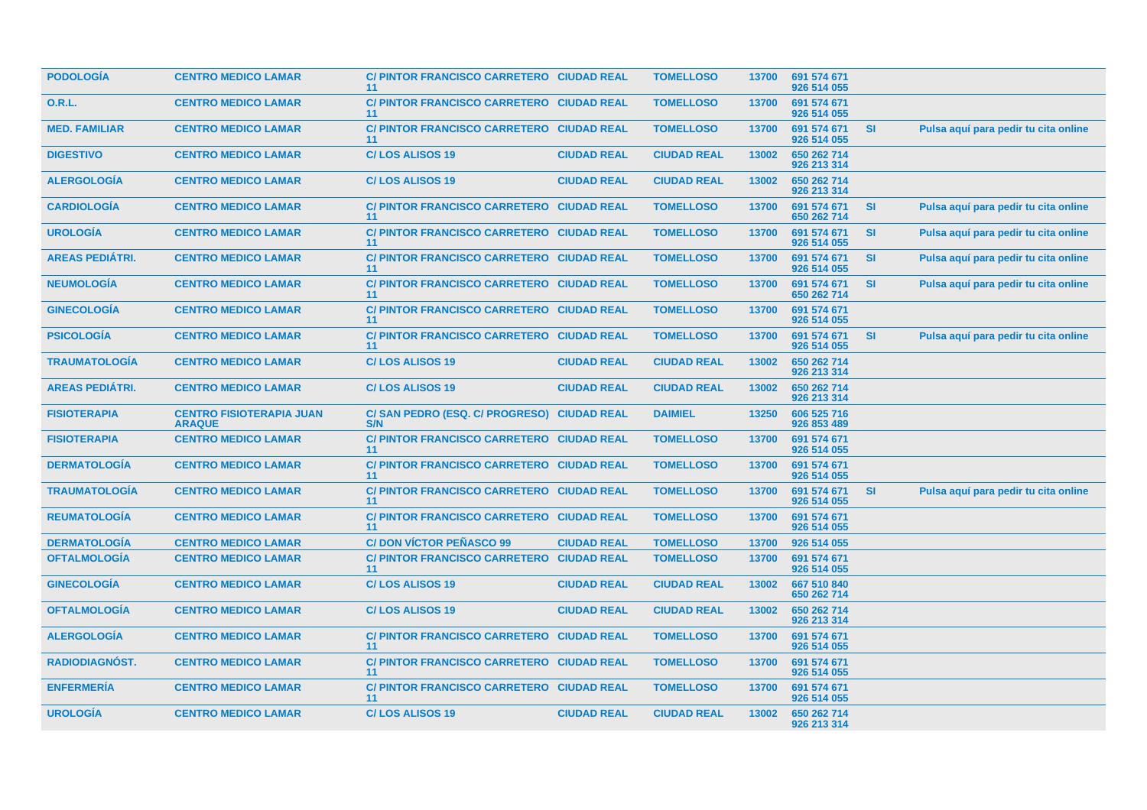| <b>PODOLOGIA</b>       | <b>CENTRO MEDICO LAMAR</b>                       | C/PINTOR FRANCISCO CARRETERO CIUDAD REAL<br>11    |                    | <b>TOMELLOSO</b>   | 13700 | 691 574 671<br>926 514 055 |           |                                      |
|------------------------|--------------------------------------------------|---------------------------------------------------|--------------------|--------------------|-------|----------------------------|-----------|--------------------------------------|
| 0.R.L.                 | <b>CENTRO MEDICO LAMAR</b>                       | C/ PINTOR FRANCISCO CARRETERO CIUDAD REAL<br>11   |                    | <b>TOMELLOSO</b>   | 13700 | 691 574 671<br>926 514 055 |           |                                      |
| <b>MED. FAMILIAR</b>   | <b>CENTRO MEDICO LAMAR</b>                       | C/ PINTOR FRANCISCO CARRETERO CIUDAD REAL<br>11   |                    | <b>TOMELLOSO</b>   | 13700 | 691 574 671<br>926 514 055 | <b>SI</b> | Pulsa aquí para pedir tu cita online |
| <b>DIGESTIVO</b>       | <b>CENTRO MEDICO LAMAR</b>                       | <b>C/LOS ALISOS 19</b>                            | <b>CIUDAD REAL</b> | <b>CIUDAD REAL</b> | 13002 | 650 262 714<br>926 213 314 |           |                                      |
| <b>ALERGOLOGIA</b>     | <b>CENTRO MEDICO LAMAR</b>                       | <b>C/LOS ALISOS 19</b>                            | <b>CIUDAD REAL</b> | <b>CIUDAD REAL</b> | 13002 | 650 262 714<br>926 213 314 |           |                                      |
| <b>CARDIOLOGÍA</b>     | <b>CENTRO MEDICO LAMAR</b>                       | C/ PINTOR FRANCISCO CARRETERO CIUDAD REAL<br>11   |                    | <b>TOMELLOSO</b>   | 13700 | 691 574 671<br>650 262 714 | <b>SI</b> | Pulsa aquí para pedir tu cita online |
| <b>UROLOGÍA</b>        | <b>CENTRO MEDICO LAMAR</b>                       | C/ PINTOR FRANCISCO CARRETERO CIUDAD REAL<br>11   |                    | <b>TOMELLOSO</b>   | 13700 | 691 574 671<br>926 514 055 | <b>SI</b> | Pulsa aquí para pedir tu cita online |
| <b>AREAS PEDIÁTRI.</b> | <b>CENTRO MEDICO LAMAR</b>                       | C/ PINTOR FRANCISCO CARRETERO CIUDAD REAL<br>11   |                    | <b>TOMELLOSO</b>   | 13700 | 691 574 671<br>926 514 055 | SI        | Pulsa aquí para pedir tu cita online |
| <b>NEUMOLOGÍA</b>      | <b>CENTRO MEDICO LAMAR</b>                       | C/ PINTOR FRANCISCO CARRETERO CIUDAD REAL<br>11   |                    | <b>TOMELLOSO</b>   | 13700 | 691 574 671<br>650 262 714 | <b>SI</b> | Pulsa aquí para pedir tu cita online |
| <b>GINECOLOGÍA</b>     | <b>CENTRO MEDICO LAMAR</b>                       | C/ PINTOR FRANCISCO CARRETERO CIUDAD REAL<br>11   |                    | <b>TOMELLOSO</b>   | 13700 | 691 574 671<br>926 514 055 |           |                                      |
| <b>PSICOLOGIA</b>      | <b>CENTRO MEDICO LAMAR</b>                       | C/PINTOR FRANCISCO CARRETERO CIUDAD REAL<br>11    |                    | <b>TOMELLOSO</b>   | 13700 | 691 574 671<br>926 514 055 | <b>SI</b> | Pulsa aquí para pedir tu cita online |
| <b>TRAUMATOLOGIA</b>   | <b>CENTRO MEDICO LAMAR</b>                       | <b>C/LOS ALISOS 19</b>                            | <b>CIUDAD REAL</b> | <b>CIUDAD REAL</b> | 13002 | 650 262 714<br>926 213 314 |           |                                      |
| <b>AREAS PEDIÁTRI.</b> | <b>CENTRO MEDICO LAMAR</b>                       | <b>C/LOS ALISOS 19</b>                            | <b>CIUDAD REAL</b> | <b>CIUDAD REAL</b> | 13002 | 650 262 714<br>926 213 314 |           |                                      |
| <b>FISIOTERAPIA</b>    | <b>CENTRO FISIOTERAPIA JUAN</b><br><b>ARAQUE</b> | C/SAN PEDRO (ESQ. C/ PROGRESO) CIUDAD REAL<br>S/N |                    | <b>DAIMIEL</b>     | 13250 | 606 525 716<br>926 853 489 |           |                                      |
| <b>FISIOTERAPIA</b>    | <b>CENTRO MEDICO LAMAR</b>                       | C/ PINTOR FRANCISCO CARRETERO CIUDAD REAL<br>11   |                    | <b>TOMELLOSO</b>   | 13700 | 691 574 671<br>926 514 055 |           |                                      |
| <b>DERMATOLOGIA</b>    | <b>CENTRO MEDICO LAMAR</b>                       | C/ PINTOR FRANCISCO CARRETERO CIUDAD REAL<br>11   |                    | <b>TOMELLOSO</b>   | 13700 | 691 574 671<br>926 514 055 |           |                                      |
| <b>TRAUMATOLOGIA</b>   | <b>CENTRO MEDICO LAMAR</b>                       | C/ PINTOR FRANCISCO CARRETERO CIUDAD REAL<br>11   |                    | <b>TOMELLOSO</b>   | 13700 | 691 574 671<br>926 514 055 | <b>SI</b> | Pulsa aquí para pedir tu cita online |
| <b>REUMATOLOGIA</b>    | <b>CENTRO MEDICO LAMAR</b>                       | C/ PINTOR FRANCISCO CARRETERO CIUDAD REAL<br>11   |                    | <b>TOMELLOSO</b>   | 13700 | 691 574 671<br>926 514 055 |           |                                      |
| <b>DERMATOLOGÍA</b>    | <b>CENTRO MEDICO LAMAR</b>                       | <b>C/DON VÍCTOR PEÑASCO 99</b>                    | <b>CIUDAD REAL</b> | <b>TOMELLOSO</b>   | 13700 | 926 514 055                |           |                                      |
| <b>OFTALMOLOGIA</b>    | <b>CENTRO MEDICO LAMAR</b>                       | C/ PINTOR FRANCISCO CARRETERO CIUDAD REAL<br>11   |                    | <b>TOMELLOSO</b>   | 13700 | 691 574 671<br>926 514 055 |           |                                      |
| <b>GINECOLOGIA</b>     | <b>CENTRO MEDICO LAMAR</b>                       | <b>C/LOS ALISOS 19</b>                            | <b>CIUDAD REAL</b> | <b>CIUDAD REAL</b> | 13002 | 667 510 840<br>650 262 714 |           |                                      |
| <b>OFTALMOLOGÍA</b>    | <b>CENTRO MEDICO LAMAR</b>                       | <b>C/LOS ALISOS 19</b>                            | <b>CIUDAD REAL</b> | <b>CIUDAD REAL</b> | 13002 | 650 262 714<br>926 213 314 |           |                                      |
| <b>ALERGOLOGÍA</b>     | <b>CENTRO MEDICO LAMAR</b>                       | C/ PINTOR FRANCISCO CARRETERO CIUDAD REAL<br>11   |                    | <b>TOMELLOSO</b>   | 13700 | 691 574 671<br>926 514 055 |           |                                      |
| RADIODIAGNÓST.         | <b>CENTRO MEDICO LAMAR</b>                       | C/ PINTOR FRANCISCO CARRETERO CIUDAD REAL<br>11   |                    | <b>TOMELLOSO</b>   | 13700 | 691 574 671<br>926 514 055 |           |                                      |
| <b>ENFERMERÍA</b>      | <b>CENTRO MEDICO LAMAR</b>                       | C/ PINTOR FRANCISCO CARRETERO CIUDAD REAL<br>11   |                    | <b>TOMELLOSO</b>   | 13700 | 691 574 671<br>926 514 055 |           |                                      |
| <b>UROLOGÍA</b>        | <b>CENTRO MEDICO LAMAR</b>                       | <b>C/LOS ALISOS 19</b>                            | <b>CIUDAD REAL</b> | <b>CIUDAD REAL</b> | 13002 | 650 262 714<br>926 213 314 |           |                                      |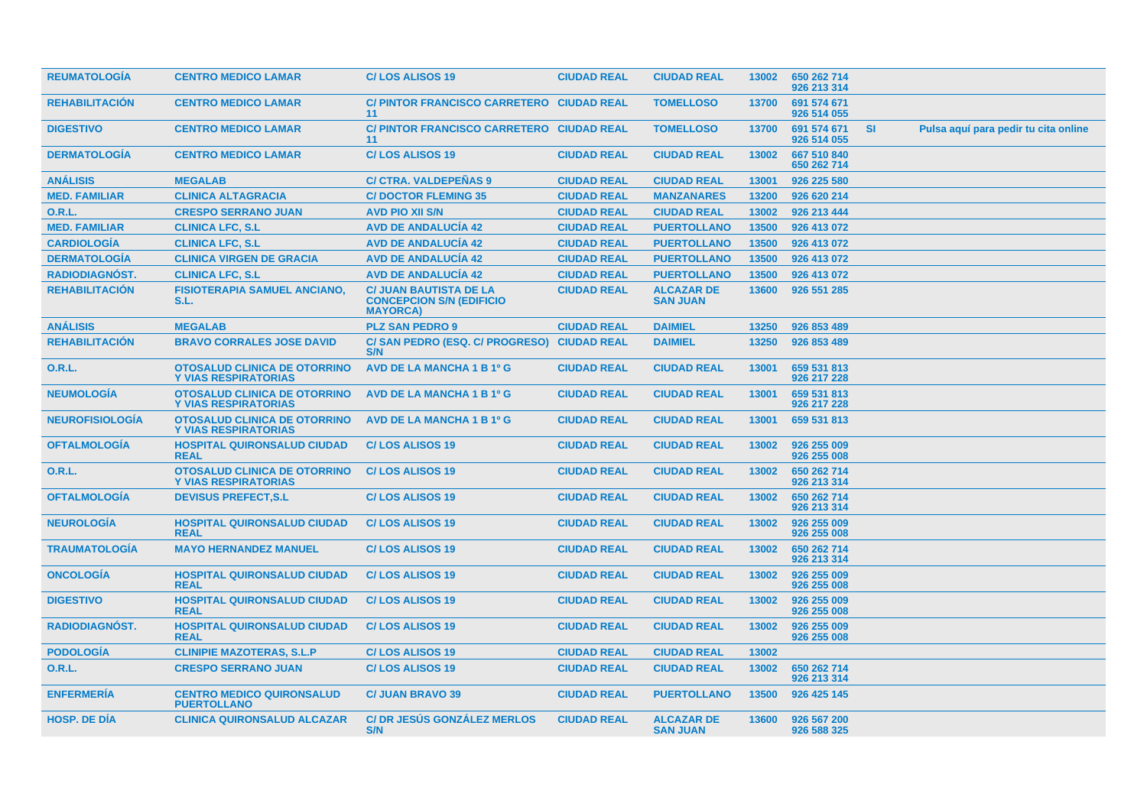| <b>REUMATOLOGIA</b>    | <b>CENTRO MEDICO LAMAR</b>                                         | <b>C/LOS ALISOS 19</b>                                                              | <b>CIUDAD REAL</b> | <b>CIUDAD REAL</b>                   | 13002 | 650 262 714<br>926 213 314 |           |                                      |
|------------------------|--------------------------------------------------------------------|-------------------------------------------------------------------------------------|--------------------|--------------------------------------|-------|----------------------------|-----------|--------------------------------------|
| <b>REHABILITACIÓN</b>  | <b>CENTRO MEDICO LAMAR</b>                                         | C/ PINTOR FRANCISCO CARRETERO CIUDAD REAL<br>11                                     |                    | <b>TOMELLOSO</b>                     | 13700 | 691 574 671<br>926 514 055 |           |                                      |
| <b>DIGESTIVO</b>       | <b>CENTRO MEDICO LAMAR</b>                                         | C/ PINTOR FRANCISCO CARRETERO CIUDAD REAL<br>11                                     |                    | <b>TOMELLOSO</b>                     | 13700 | 691 574 671<br>926 514 055 | <b>SI</b> | Pulsa aquí para pedir tu cita online |
| <b>DERMATOLOGIA</b>    | <b>CENTRO MEDICO LAMAR</b>                                         | <b>C/LOS ALISOS 19</b>                                                              | <b>CIUDAD REAL</b> | <b>CIUDAD REAL</b>                   | 13002 | 667 510 840<br>650 262 714 |           |                                      |
| <b>ANÁLISIS</b>        | <b>MEGALAB</b>                                                     | <b>C/ CTRA. VALDEPEÑAS 9</b>                                                        | <b>CIUDAD REAL</b> | <b>CIUDAD REAL</b>                   | 13001 | 926 225 580                |           |                                      |
| <b>MED. FAMILIAR</b>   | <b>CLINICA ALTAGRACIA</b>                                          | <b>C/DOCTOR FLEMING 35</b>                                                          | <b>CIUDAD REAL</b> | <b>MANZANARES</b>                    | 13200 | 926 620 214                |           |                                      |
| <b>O.R.L.</b>          | <b>CRESPO SERRANO JUAN</b>                                         | <b>AVD PIO XII S/N</b>                                                              | <b>CIUDAD REAL</b> | <b>CIUDAD REAL</b>                   | 13002 | 926 213 444                |           |                                      |
| <b>MED. FAMILIAR</b>   | <b>CLINICA LFC, S.L</b>                                            | <b>AVD DE ANDALUCÍA 42</b>                                                          | <b>CIUDAD REAL</b> | <b>PUERTOLLANO</b>                   | 13500 | 926 413 072                |           |                                      |
| <b>CARDIOLOGIA</b>     | <b>CLINICA LFC, S.L</b>                                            | <b>AVD DE ANDALUCIA 42</b>                                                          | <b>CIUDAD REAL</b> | <b>PUERTOLLANO</b>                   | 13500 | 926 413 072                |           |                                      |
| <b>DERMATOLOGÍA</b>    | <b>CLINICA VIRGEN DE GRACIA</b>                                    | <b>AVD DE ANDALUCÍA 42</b>                                                          | <b>CIUDAD REAL</b> | <b>PUERTOLLANO</b>                   | 13500 | 926 413 072                |           |                                      |
| <b>RADIODIAGNÓST.</b>  | <b>CLINICA LFC, S.L</b>                                            | <b>AVD DE ANDALUCÍA 42</b>                                                          | <b>CIUDAD REAL</b> | <b>PUERTOLLANO</b>                   | 13500 | 926 413 072                |           |                                      |
| <b>REHABILITACION</b>  | <b>FISIOTERAPIA SAMUEL ANCIANO,</b><br>S.L.                        | <b>C/ JUAN BAUTISTA DE LA</b><br><b>CONCEPCION S/N (EDIFICIO</b><br><b>MAYORCA)</b> | <b>CIUDAD REAL</b> | <b>ALCAZAR DE</b><br><b>SAN JUAN</b> | 13600 | 926 551 285                |           |                                      |
| <b>ANÁLISIS</b>        | <b>MEGALAB</b>                                                     | <b>PLZ SAN PEDRO 9</b>                                                              | <b>CIUDAD REAL</b> | <b>DAIMIEL</b>                       | 13250 | 926 853 489                |           |                                      |
| <b>REHABILITACIÓN</b>  | <b>BRAVO CORRALES JOSE DAVID</b>                                   | C/ SAN PEDRO (ESQ. C/ PROGRESO)<br>S/N                                              | <b>CIUDAD REAL</b> | <b>DAIMIEL</b>                       | 13250 | 926 853 489                |           |                                      |
| 0.R.L.                 | <b>OTOSALUD CLINICA DE OTORRINO</b><br><b>Y VIAS RESPIRATORIAS</b> | AVD DE LA MANCHA 1 B 1º G                                                           | <b>CIUDAD REAL</b> | <b>CIUDAD REAL</b>                   | 13001 | 659 531 813<br>926 217 228 |           |                                      |
| <b>NEUMOLOGÍA</b>      | <b>OTOSALUD CLINICA DE OTORRINO</b><br><b>Y VIAS RESPIRATORIAS</b> | AVD DE LA MANCHA 1 B 1º G                                                           | <b>CIUDAD REAL</b> | <b>CIUDAD REAL</b>                   | 13001 | 659 531 813<br>926 217 228 |           |                                      |
| <b>NEUROFISIOLOGÍA</b> | <b>OTOSALUD CLINICA DE OTORRINO</b><br><b>Y VIAS RESPIRATORIAS</b> | <b>AVD DE LA MANCHA 1 B 1º G</b>                                                    | <b>CIUDAD REAL</b> | <b>CIUDAD REAL</b>                   | 13001 | 659 531 813                |           |                                      |
| <b>OFTALMOLOGÍA</b>    | <b>HOSPITAL QUIRONSALUD CIUDAD</b><br><b>REAL</b>                  | <b>C/LOS ALISOS 19</b>                                                              | <b>CIUDAD REAL</b> | <b>CIUDAD REAL</b>                   | 13002 | 926 255 009<br>926 255 008 |           |                                      |
| <b>O.R.L.</b>          | <b>OTOSALUD CLINICA DE OTORRINO</b><br><b>Y VIAS RESPIRATORIAS</b> | <b>C/LOS ALISOS 19</b>                                                              | <b>CIUDAD REAL</b> | <b>CIUDAD REAL</b>                   | 13002 | 650 262 714<br>926 213 314 |           |                                      |
| <b>OFTALMOLOGIA</b>    | <b>DEVISUS PREFECT, S.L</b>                                        | <b>C/LOS ALISOS 19</b>                                                              | <b>CIUDAD REAL</b> | <b>CIUDAD REAL</b>                   | 13002 | 650 262 714<br>926 213 314 |           |                                      |
| <b>NEUROLOGIA</b>      | <b>HOSPITAL QUIRONSALUD CIUDAD</b><br><b>REAL</b>                  | <b>C/LOS ALISOS 19</b>                                                              | <b>CIUDAD REAL</b> | <b>CIUDAD REAL</b>                   | 13002 | 926 255 009<br>926 255 008 |           |                                      |
| <b>TRAUMATOLOGIA</b>   | <b>MAYO HERNANDEZ MANUEL</b>                                       | <b>C/LOS ALISOS 19</b>                                                              | <b>CIUDAD REAL</b> | <b>CIUDAD REAL</b>                   | 13002 | 650 262 714<br>926 213 314 |           |                                      |
| <b>ONCOLOGIA</b>       | <b>HOSPITAL QUIRONSALUD CIUDAD</b><br><b>REAL</b>                  | <b>C/LOS ALISOS 19</b>                                                              | <b>CIUDAD REAL</b> | <b>CIUDAD REAL</b>                   | 13002 | 926 255 009<br>926 255 008 |           |                                      |
| <b>DIGESTIVO</b>       | <b>HOSPITAL QUIRONSALUD CIUDAD</b><br><b>REAL</b>                  | <b>C/LOS ALISOS 19</b>                                                              | <b>CIUDAD REAL</b> | <b>CIUDAD REAL</b>                   | 13002 | 926 255 009<br>926 255 008 |           |                                      |
| <b>RADIODIAGNÓST.</b>  | <b>HOSPITAL QUIRONSALUD CIUDAD</b><br><b>REAL</b>                  | <b>C/LOS ALISOS 19</b>                                                              | <b>CIUDAD REAL</b> | <b>CIUDAD REAL</b>                   | 13002 | 926 255 009<br>926 255 008 |           |                                      |
| <b>PODOLOGÍA</b>       | <b>CLINIPIE MAZOTERAS, S.L.P</b>                                   | <b>C/LOS ALISOS 19</b>                                                              | <b>CIUDAD REAL</b> | <b>CIUDAD REAL</b>                   | 13002 |                            |           |                                      |
| 0.R.L.                 | <b>CRESPO SERRANO JUAN</b>                                         | <b>C/LOS ALISOS 19</b>                                                              | <b>CIUDAD REAL</b> | <b>CIUDAD REAL</b>                   | 13002 | 650 262 714<br>926 213 314 |           |                                      |
| <b>ENFERMERIA</b>      | <b>CENTRO MEDICO QUIRONSALUD</b><br><b>PUERTOLLANO</b>             | <b>C/ JUAN BRAVO 39</b>                                                             | <b>CIUDAD REAL</b> | <b>PUERTOLLANO</b>                   | 13500 | 926 425 145                |           |                                      |
| <b>HOSP, DE DÍA</b>    | <b>CLINICA QUIRONSALUD ALCAZAR</b>                                 | <b>C/DR JESÚS GONZÁLEZ MERLOS</b><br>S/N                                            | <b>CIUDAD REAL</b> | <b>ALCAZAR DE</b><br><b>SAN JUAN</b> | 13600 | 926 567 200<br>926 588 325 |           |                                      |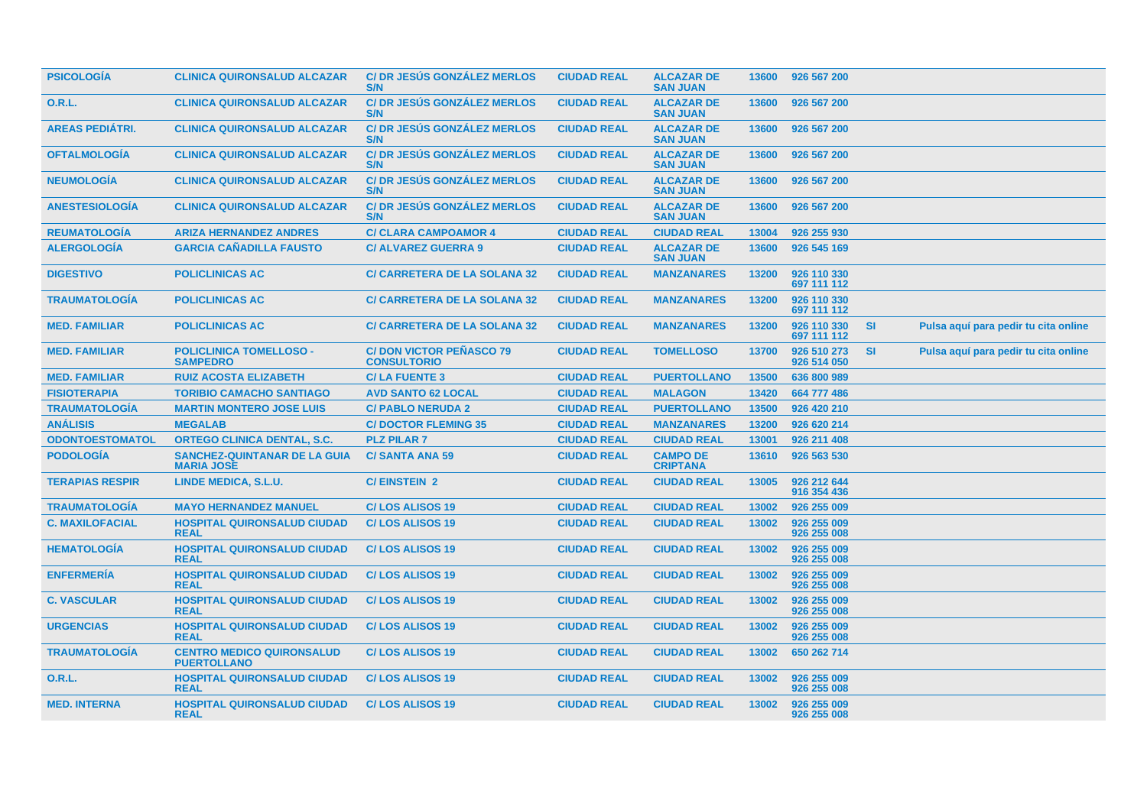| <b>PSICOLOGÍA</b>      | <b>CLINICA QUIRONSALUD ALCAZAR</b>                       | <b>C/DR JESÚS GONZÁLEZ MERLOS</b><br>S/N             | <b>CIUDAD REAL</b> | <b>ALCAZAR DE</b><br><b>SAN JUAN</b> | 13600 | 926 567 200                |           |                                      |
|------------------------|----------------------------------------------------------|------------------------------------------------------|--------------------|--------------------------------------|-------|----------------------------|-----------|--------------------------------------|
| 0.R.L.                 | <b>CLINICA QUIRONSALUD ALCAZAR</b>                       | <b>C/DR JESUS GONZALEZ MERLOS</b><br>S/N             | <b>CIUDAD REAL</b> | <b>ALCAZAR DE</b><br><b>SAN JUAN</b> | 13600 | 926 567 200                |           |                                      |
| <b>AREAS PEDIÁTRI.</b> | <b>CLINICA QUIRONSALUD ALCAZAR</b>                       | <b>C/DR JESUS GONZALEZ MERLOS</b><br>S/N             | <b>CIUDAD REAL</b> | <b>ALCAZAR DE</b><br><b>SAN JUAN</b> | 13600 | 926 567 200                |           |                                      |
| <b>OFTALMOLOGÍA</b>    | <b>CLINICA QUIRONSALUD ALCAZAR</b>                       | <b>C/DR JESÚS GONZÁLEZ MERLOS</b><br>S/N             | <b>CIUDAD REAL</b> | <b>ALCAZAR DE</b><br><b>SAN JUAN</b> | 13600 | 926 567 200                |           |                                      |
| <b>NEUMOLOGÍA</b>      | <b>CLINICA QUIRONSALUD ALCAZAR</b>                       | <b>C/DR JESÚS GONZÁLEZ MERLOS</b><br>S/N             | <b>CIUDAD REAL</b> | <b>ALCAZAR DE</b><br><b>SAN JUAN</b> | 13600 | 926 567 200                |           |                                      |
| <b>ANESTESIOLOGIA</b>  | <b>CLINICA QUIRONSALUD ALCAZAR</b>                       | <b>C/DR JESUS GONZALEZ MERLOS</b><br>S/N             | <b>CIUDAD REAL</b> | <b>ALCAZAR DE</b><br><b>SAN JUAN</b> | 13600 | 926 567 200                |           |                                      |
| <b>REUMATOLOGIA</b>    | <b>ARIZA HERNANDEZ ANDRES</b>                            | <b>C/ CLARA CAMPOAMOR 4</b>                          | <b>CIUDAD REAL</b> | <b>CIUDAD REAL</b>                   | 13004 | 926 255 930                |           |                                      |
| <b>ALERGOLOGÍA</b>     | <b>GARCIA CAÑADILLA FAUSTO</b>                           | <b>C/ ALVAREZ GUERRA 9</b>                           | <b>CIUDAD REAL</b> | <b>ALCAZAR DE</b><br><b>SAN JUAN</b> | 13600 | 926 545 169                |           |                                      |
| <b>DIGESTIVO</b>       | <b>POLICLINICAS AC</b>                                   | <b>C/ CARRETERA DE LA SOLANA 32</b>                  | <b>CIUDAD REAL</b> | <b>MANZANARES</b>                    | 13200 | 926 110 330<br>697 111 112 |           |                                      |
| <b>TRAUMATOLOGÍA</b>   | <b>POLICLINICAS AC</b>                                   | <b>C/ CARRETERA DE LA SOLANA 32</b>                  | <b>CIUDAD REAL</b> | <b>MANZANARES</b>                    | 13200 | 926 110 330<br>697 111 112 |           |                                      |
| <b>MED. FAMILIAR</b>   | <b>POLICLINICAS AC</b>                                   | <b>C/ CARRETERA DE LA SOLANA 32</b>                  | <b>CIUDAD REAL</b> | <b>MANZANARES</b>                    | 13200 | 926 110 330<br>697 111 112 | <b>SI</b> | Pulsa aquí para pedir tu cita online |
| <b>MED. FAMILIAR</b>   | <b>POLICLINICA TOMELLOSO -</b><br><b>SAMPEDRO</b>        | <b>C/DON VICTOR PEÑASCO 79</b><br><b>CONSULTORIO</b> | <b>CIUDAD REAL</b> | <b>TOMELLOSO</b>                     | 13700 | 926 510 273<br>926 514 050 | <b>SI</b> | Pulsa aquí para pedir tu cita online |
| <b>MED. FAMILIAR</b>   | <b>RUIZ ACOSTA ELIZABETH</b>                             | <b>C/LA FUENTE 3</b>                                 | <b>CIUDAD REAL</b> | <b>PUERTOLLANO</b>                   | 13500 | 636 800 989                |           |                                      |
| <b>FISIOTERAPIA</b>    | <b>TORIBIO CAMACHO SANTIAGO</b>                          | <b>AVD SANTO 62 LOCAL</b>                            | <b>CIUDAD REAL</b> | <b>MALAGON</b>                       | 13420 | 664 777 486                |           |                                      |
| <b>TRAUMATOLOGIA</b>   | <b>MARTIN MONTERO JOSE LUIS</b>                          | <b>C/ PABLO NERUDA 2</b>                             | <b>CIUDAD REAL</b> | <b>PUERTOLLANO</b>                   | 13500 | 926 420 210                |           |                                      |
| <b>ANÁLISIS</b>        | <b>MEGALAB</b>                                           | <b>C/DOCTOR FLEMING 35</b>                           | <b>CIUDAD REAL</b> | <b>MANZANARES</b>                    | 13200 | 926 620 214                |           |                                      |
| <b>ODONTOESTOMATOL</b> | <b>ORTEGO CLINICA DENTAL, S.C.</b>                       | <b>PLZ PILAR 7</b>                                   | <b>CIUDAD REAL</b> | <b>CIUDAD REAL</b>                   | 13001 | 926 211 408                |           |                                      |
| <b>PODOLOGÍA</b>       | <b>SANCHEZ-QUINTANAR DE LA GUIA</b><br><b>MARIA JOSE</b> | <b>C/SANTA ANA 59</b>                                | <b>CIUDAD REAL</b> | <b>CAMPO DE</b><br><b>CRIPTANA</b>   | 13610 | 926 563 530                |           |                                      |
| <b>TERAPIAS RESPIR</b> | LINDE MEDICA, S.L.U.                                     | <b>C/EINSTEIN 2</b>                                  | <b>CIUDAD REAL</b> | <b>CIUDAD REAL</b>                   | 13005 | 926 212 644<br>916 354 436 |           |                                      |
| <b>TRAUMATOLOGÍA</b>   | <b>MAYO HERNANDEZ MANUEL</b>                             | <b>C/LOS ALISOS 19</b>                               | <b>CIUDAD REAL</b> | <b>CIUDAD REAL</b>                   | 13002 | 926 255 009                |           |                                      |
| <b>C. MAXILOFACIAL</b> | <b>HOSPITAL QUIRONSALUD CIUDAD</b><br><b>REAL</b>        | <b>C/LOS ALISOS 19</b>                               | <b>CIUDAD REAL</b> | <b>CIUDAD REAL</b>                   | 13002 | 926 255 009<br>926 255 008 |           |                                      |
| <b>HEMATOLOGIA</b>     | <b>HOSPITAL QUIRONSALUD CIUDAD</b><br><b>REAL</b>        | <b>C/LOS ALISOS 19</b>                               | <b>CIUDAD REAL</b> | <b>CIUDAD REAL</b>                   | 13002 | 926 255 009<br>926 255 008 |           |                                      |
| <b>ENFERMERÍA</b>      | <b>HOSPITAL QUIRONSALUD CIUDAD</b><br><b>REAL</b>        | <b>C/LOS ALISOS 19</b>                               | <b>CIUDAD REAL</b> | <b>CIUDAD REAL</b>                   | 13002 | 926 255 009<br>926 255 008 |           |                                      |
| <b>C. VASCULAR</b>     | <b>HOSPITAL QUIRONSALUD CIUDAD</b><br><b>REAL</b>        | <b>C/LOS ALISOS 19</b>                               | <b>CIUDAD REAL</b> | <b>CIUDAD REAL</b>                   | 13002 | 926 255 009<br>926 255 008 |           |                                      |
| <b>URGENCIAS</b>       | <b>HOSPITAL QUIRONSALUD CIUDAD</b><br><b>REAL</b>        | <b>C/LOS ALISOS 19</b>                               | <b>CIUDAD REAL</b> | <b>CIUDAD REAL</b>                   | 13002 | 926 255 009<br>926 255 008 |           |                                      |
| <b>TRAUMATOLOGIA</b>   | <b>CENTRO MEDICO QUIRONSALUD</b><br><b>PUERTOLLANO</b>   | <b>C/LOS ALISOS 19</b>                               | <b>CIUDAD REAL</b> | <b>CIUDAD REAL</b>                   | 13002 | 650 262 714                |           |                                      |
| <b>O.R.L.</b>          | <b>HOSPITAL QUIRONSALUD CIUDAD</b><br><b>REAL</b>        | <b>C/LOS ALISOS 19</b>                               | <b>CIUDAD REAL</b> | <b>CIUDAD REAL</b>                   | 13002 | 926 255 009<br>926 255 008 |           |                                      |
| <b>MED. INTERNA</b>    | <b>HOSPITAL QUIRONSALUD CIUDAD</b><br><b>REAL</b>        | <b>C/LOS ALISOS 19</b>                               | <b>CIUDAD REAL</b> | <b>CIUDAD REAL</b>                   | 13002 | 926 255 009<br>926 255 008 |           |                                      |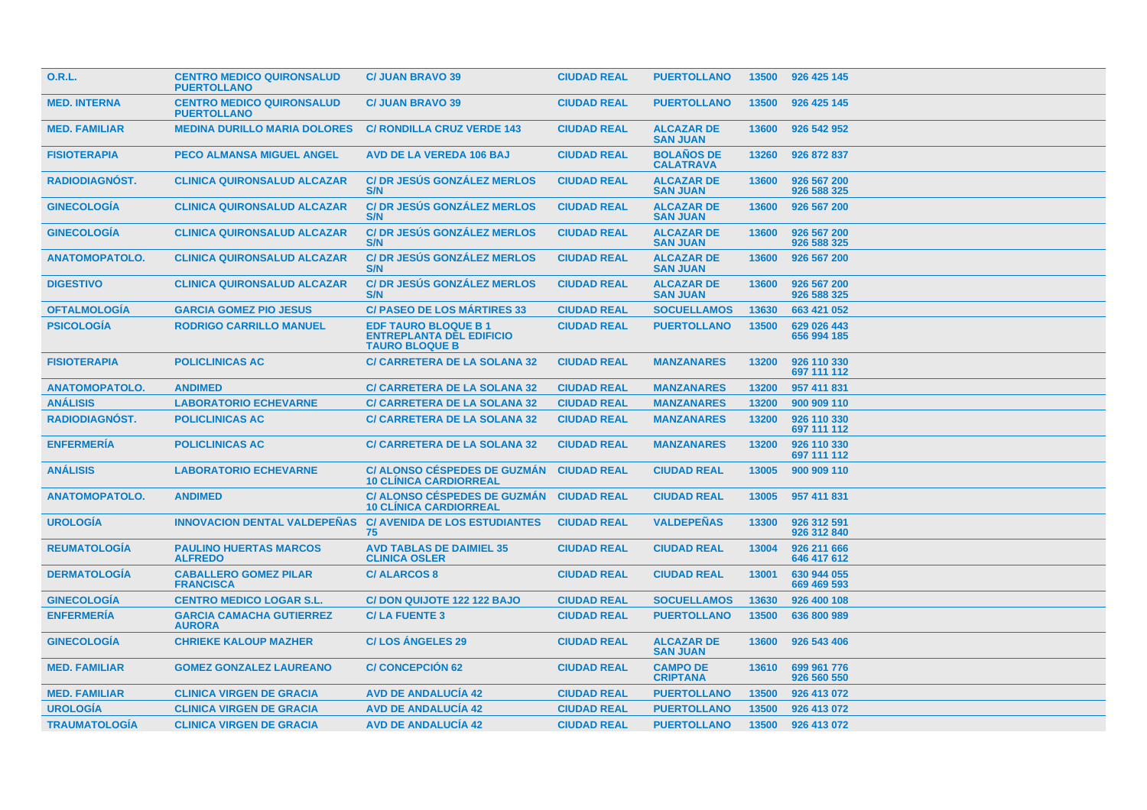| <b>O.R.L.</b>         | <b>CENTRO MEDICO QUIRONSALUD</b><br><b>PUERTOLLANO</b> | <b>C/ JUAN BRAVO 39</b>                                                                | <b>CIUDAD REAL</b> | <b>PUERTOLLANO</b>                    | 13500 | 926 425 145                |
|-----------------------|--------------------------------------------------------|----------------------------------------------------------------------------------------|--------------------|---------------------------------------|-------|----------------------------|
| <b>MED. INTERNA</b>   | <b>CENTRO MEDICO QUIRONSALUD</b><br><b>PUERTOLLANO</b> | <b>C/ JUAN BRAVO 39</b>                                                                | <b>CIUDAD REAL</b> | <b>PUERTOLLANO</b>                    | 13500 | 926 425 145                |
| <b>MED. FAMILIAR</b>  | <b>MEDINA DURILLO MARIA DOLORES</b>                    | <b>C/ RONDILLA CRUZ VERDE 143</b>                                                      | <b>CIUDAD REAL</b> | <b>ALCAZAR DE</b><br><b>SAN JUAN</b>  | 13600 | 926 542 952                |
| <b>FISIOTERAPIA</b>   | <b>PECO ALMANSA MIGUEL ANGEL</b>                       | <b>AVD DE LA VEREDA 106 BAJ</b>                                                        | <b>CIUDAD REAL</b> | <b>BOLAÑOS DE</b><br><b>CALATRAVA</b> | 13260 | 926 872 837                |
| RADIODIAGNÓST.        | <b>CLINICA QUIRONSALUD ALCAZAR</b>                     | <b>C/DR JESUS GONZALEZ MERLOS</b><br>S/N                                               | <b>CIUDAD REAL</b> | <b>ALCAZAR DE</b><br><b>SAN JUAN</b>  | 13600 | 926 567 200<br>926 588 325 |
| <b>GINECOLOGIA</b>    | <b>CLINICA QUIRONSALUD ALCAZAR</b>                     | <b>C/DR JESUS GONZALEZ MERLOS</b><br>S/N                                               | <b>CIUDAD REAL</b> | <b>ALCAZAR DE</b><br><b>SAN JUAN</b>  | 13600 | 926 567 200                |
| <b>GINECOLOGÍA</b>    | <b>CLINICA QUIRONSALUD ALCAZAR</b>                     | <b>C/DR JESÚS GONZÁLEZ MERLOS</b><br>S/N                                               | <b>CIUDAD REAL</b> | <b>ALCAZAR DE</b><br><b>SAN JUAN</b>  | 13600 | 926 567 200<br>926 588 325 |
| <b>ANATOMOPATOLO.</b> | <b>CLINICA QUIRONSALUD ALCAZAR</b>                     | <b>C/DR JESÚS GONZÁLEZ MERLOS</b><br>S/N                                               | <b>CIUDAD REAL</b> | <b>ALCAZAR DE</b><br><b>SAN JUAN</b>  | 13600 | 926 567 200                |
| <b>DIGESTIVO</b>      | <b>CLINICA QUIRONSALUD ALCAZAR</b>                     | <b>C/DR JESUS GONZALEZ MERLOS</b><br>S/N                                               | <b>CIUDAD REAL</b> | <b>ALCAZAR DE</b><br><b>SAN JUAN</b>  | 13600 | 926 567 200<br>926 588 325 |
| <b>OFTALMOLOGÍA</b>   | <b>GARCIA GOMEZ PIO JESUS</b>                          | <b>C/ PASEO DE LOS MÁRTIRES 33</b>                                                     | <b>CIUDAD REAL</b> | <b>SOCUELLAMOS</b>                    | 13630 | 663 421 052                |
| <b>PSICOLOGIA</b>     | <b>RODRIGO CARRILLO MANUEL</b>                         | <b>EDF TAURO BLOQUE B1</b><br><b>ENTREPLANTA DEL EDIFICIO</b><br><b>TAURO BLOQUE B</b> | <b>CIUDAD REAL</b> | <b>PUERTOLLANO</b>                    | 13500 | 629 026 443<br>656 994 185 |
| <b>FISIOTERAPIA</b>   | <b>POLICLINICAS AC</b>                                 | <b>C/ CARRETERA DE LA SOLANA 32</b>                                                    | <b>CIUDAD REAL</b> | <b>MANZANARES</b>                     | 13200 | 926 110 330<br>697 111 112 |
| <b>ANATOMOPATOLO.</b> | <b>ANDIMED</b>                                         | <b>C/ CARRETERA DE LA SOLANA 32</b>                                                    | <b>CIUDAD REAL</b> | <b>MANZANARES</b>                     | 13200 | 957 411 831                |
| <b>ANÁLISIS</b>       | <b>LABORATORIO ECHEVARNE</b>                           | <b>C/ CARRETERA DE LA SOLANA 32</b>                                                    | <b>CIUDAD REAL</b> | <b>MANZANARES</b>                     | 13200 | 900 909 110                |
| <b>RADIODIAGNÓST.</b> | <b>POLICLINICAS AC</b>                                 | <b>C/ CARRETERA DE LA SOLANA 32</b>                                                    | <b>CIUDAD REAL</b> | <b>MANZANARES</b>                     | 13200 | 926 110 330<br>697 111 112 |
| <b>ENFERMERÍA</b>     | <b>POLICLINICAS AC</b>                                 | <b>C/ CARRETERA DE LA SOLANA 32</b>                                                    | <b>CIUDAD REAL</b> | <b>MANZANARES</b>                     | 13200 | 926 110 330<br>697 111 112 |
| <b>ANALISIS</b>       | <b>LABORATORIO ECHEVARNE</b>                           | <b>C/ ALONSO CÉSPEDES DE GUZMÁN</b><br><b>10 CLÍNICA CARDIORREAL</b>                   | <b>CIUDAD REAL</b> | <b>CIUDAD REAL</b>                    | 13005 | 900 909 110                |
| <b>ANATOMOPATOLO.</b> | <b>ANDIMED</b>                                         | <b>C/ ALONSO CÉSPEDES DE GUZMÁN</b><br><b>10 CLINICA CARDIORREAL</b>                   | <b>CIUDAD REAL</b> | <b>CIUDAD REAL</b>                    | 13005 | 957 411 831                |
| <b>UROLOGÍA</b>       | <b>INNOVACION DENTAL VALDEPEÑAS</b>                    | <b>C/ AVENIDA DE LOS ESTUDIANTES</b><br>75                                             | <b>CIUDAD REAL</b> | <b>VALDEPEÑAS</b>                     | 13300 | 926 312 591<br>926 312 840 |
| <b>REUMATOLOGÍA</b>   | <b>PAULINO HUERTAS MARCOS</b><br><b>ALFREDO</b>        | <b>AVD TABLAS DE DAIMIEL 35</b><br><b>CLINICA OSLER</b>                                | <b>CIUDAD REAL</b> | <b>CIUDAD REAL</b>                    | 13004 | 926 211 666<br>646 417 612 |
| <b>DERMATOLOGÍA</b>   | <b>CABALLERO GOMEZ PILAR</b><br><b>FRANCISCA</b>       | <b>C/ALARCOS 8</b>                                                                     | <b>CIUDAD REAL</b> | <b>CIUDAD REAL</b>                    | 13001 | 630 944 055<br>669 469 593 |
| <b>GINECOLOGIA</b>    | <b>CENTRO MEDICO LOGAR S.L.</b>                        | C/DON QUIJOTE 122 122 BAJO                                                             | <b>CIUDAD REAL</b> | <b>SOCUELLAMOS</b>                    | 13630 | 926 400 108                |
| <b>ENFERMERÍA</b>     | <b>GARCIA CAMACHA GUTIERREZ</b><br><b>AURORA</b>       | <b>C/LA FUENTE 3</b>                                                                   | <b>CIUDAD REAL</b> | <b>PUERTOLLANO</b>                    | 13500 | 636 800 989                |
| <b>GINECOLOGIA</b>    | <b>CHRIEKE KALOUP MAZHER</b>                           | <b>C/LOS ANGELES 29</b>                                                                | <b>CIUDAD REAL</b> | <b>ALCAZAR DE</b><br><b>SAN JUAN</b>  | 13600 | 926 543 406                |
| <b>MED. FAMILIAR</b>  | <b>GOMEZ GONZALEZ LAUREANO</b>                         | <b>C/ CONCEPCIÓN 62</b>                                                                | <b>CIUDAD REAL</b> | <b>CAMPO DE</b><br><b>CRIPTANA</b>    | 13610 | 699 961 776<br>926 560 550 |
| <b>MED. FAMILIAR</b>  | <b>CLINICA VIRGEN DE GRACIA</b>                        | <b>AVD DE ANDALUCIA 42</b>                                                             | <b>CIUDAD REAL</b> | <b>PUERTOLLANO</b>                    | 13500 | 926 413 072                |
| <b>UROLOGÍA</b>       | <b>CLINICA VIRGEN DE GRACIA</b>                        | <b>AVD DE ANDALUCÍA 42</b>                                                             | <b>CIUDAD REAL</b> | <b>PUERTOLLANO</b>                    | 13500 | 926 413 072                |
| <b>TRAUMATOLOGÍA</b>  | <b>CLINICA VIRGEN DE GRACIA</b>                        | <b>AVD DE ANDALUCÍA 42</b>                                                             | <b>CIUDAD REAL</b> | <b>PUERTOLLANO</b>                    | 13500 | 926 413 072                |
|                       |                                                        |                                                                                        |                    |                                       |       |                            |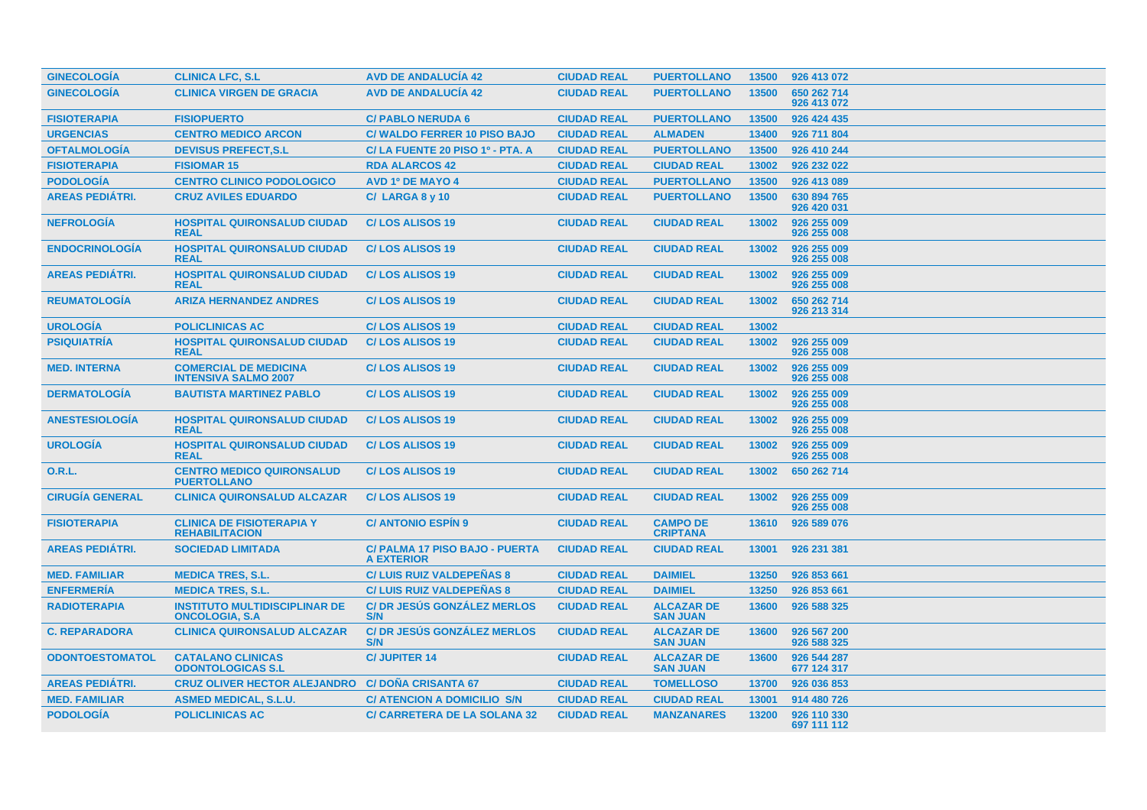| <b>GINECOLOGIA</b>     | <b>CLINICA LFC, S.L</b>                                        | <b>AVD DE ANDALUCIA 42</b>                          | <b>CIUDAD REAL</b> | <b>PUERTOLLANO</b>                   | 13500 | 926 413 072                |
|------------------------|----------------------------------------------------------------|-----------------------------------------------------|--------------------|--------------------------------------|-------|----------------------------|
| <b>GINECOLOGÍA</b>     | <b>CLINICA VIRGEN DE GRACIA</b>                                | <b>AVD DE ANDALUCÍA 42</b>                          | <b>CIUDAD REAL</b> | <b>PUERTOLLANO</b>                   | 13500 | 650 262 714<br>926 413 072 |
| <b>FISIOTERAPIA</b>    | <b>FISIOPUERTO</b>                                             | <b>C/ PABLO NERUDA 6</b>                            | <b>CIUDAD REAL</b> | <b>PUERTOLLANO</b>                   | 13500 | 926 424 435                |
| <b>URGENCIAS</b>       | <b>CENTRO MEDICO ARCON</b>                                     | <b>C/WALDO FERRER 10 PISO BAJO</b>                  | <b>CIUDAD REAL</b> | <b>ALMADEN</b>                       | 13400 | 926 711 804                |
| <b>OFTALMOLOGÍA</b>    | <b>DEVISUS PREFECT.S.L</b>                                     | C/LA FUENTE 20 PISO 1º - PTA. A                     | <b>CIUDAD REAL</b> | <b>PUERTOLLANO</b>                   | 13500 | 926 410 244                |
| <b>FISIOTERAPIA</b>    | <b>FISIOMAR 15</b>                                             | <b>RDA ALARCOS 42</b>                               | <b>CIUDAD REAL</b> | <b>CIUDAD REAL</b>                   | 13002 | 926 232 022                |
| <b>PODOLOGÍA</b>       | <b>CENTRO CLINICO PODOLOGICO</b>                               | <b>AVD 1º DE MAYO 4</b>                             | <b>CIUDAD REAL</b> | <b>PUERTOLLANO</b>                   | 13500 | 926 413 089                |
| <b>AREAS PEDIÁTRI.</b> | <b>CRUZ AVILES EDUARDO</b>                                     | $C/$ LARGA 8 y 10                                   | <b>CIUDAD REAL</b> | <b>PUERTOLLANO</b>                   | 13500 | 630 894 765<br>926 420 031 |
| <b>NEFROLOGÍA</b>      | <b>HOSPITAL QUIRONSALUD CIUDAD</b><br><b>REAL</b>              | <b>C/LOS ALISOS 19</b>                              | <b>CIUDAD REAL</b> | <b>CIUDAD REAL</b>                   | 13002 | 926 255 009<br>926 255 008 |
| <b>ENDOCRINOLOGIA</b>  | <b>HOSPITAL QUIRONSALUD CIUDAD</b><br><b>REAL</b>              | <b>C/LOS ALISOS 19</b>                              | <b>CIUDAD REAL</b> | <b>CIUDAD REAL</b>                   | 13002 | 926 255 009<br>926 255 008 |
| <b>AREAS PEDIÁTRI.</b> | <b>HOSPITAL QUIRONSALUD CIUDAD</b><br><b>REAL</b>              | <b>C/LOS ALISOS 19</b>                              | <b>CIUDAD REAL</b> | <b>CIUDAD REAL</b>                   | 13002 | 926 255 009<br>926 255 008 |
| <b>REUMATOLOGÍA</b>    | <b>ARIZA HERNANDEZ ANDRES</b>                                  | <b>C/LOS ALISOS 19</b>                              | <b>CIUDAD REAL</b> | <b>CIUDAD REAL</b>                   | 13002 | 650 262 714<br>926 213 314 |
| <b>UROLOGÍA</b>        | <b>POLICLINICAS AC</b>                                         | <b>C/LOS ALISOS 19</b>                              | <b>CIUDAD REAL</b> | <b>CIUDAD REAL</b>                   | 13002 |                            |
| <b>PSIQUIATRÍA</b>     | <b>HOSPITAL QUIRONSALUD CIUDAD</b><br><b>REAL</b>              | <b>C/LOS ALISOS 19</b>                              | <b>CIUDAD REAL</b> | <b>CIUDAD REAL</b>                   | 13002 | 926 255 009<br>926 255 008 |
| <b>MED. INTERNA</b>    | <b>COMERCIAL DE MEDICINA</b><br><b>INTENSIVA SALMO 2007</b>    | <b>C/LOS ALISOS 19</b>                              | <b>CIUDAD REAL</b> | <b>CIUDAD REAL</b>                   | 13002 | 926 255 009<br>926 255 008 |
| <b>DERMATOLOGÍA</b>    | <b>BAUTISTA MARTINEZ PABLO</b>                                 | <b>C/LOS ALISOS 19</b>                              | <b>CIUDAD REAL</b> | <b>CIUDAD REAL</b>                   | 13002 | 926 255 009<br>926 255 008 |
| <b>ANESTESIOLOGIA</b>  | <b>HOSPITAL QUIRONSALUD CIUDAD</b><br><b>REAL</b>              | <b>C/LOS ALISOS 19</b>                              | <b>CIUDAD REAL</b> | <b>CIUDAD REAL</b>                   | 13002 | 926 255 009<br>926 255 008 |
| <b>UROLOGIA</b>        | <b>HOSPITAL QUIRONSALUD CIUDAD</b><br><b>REAL</b>              | <b>C/LOS ALISOS 19</b>                              | <b>CIUDAD REAL</b> | <b>CIUDAD REAL</b>                   | 13002 | 926 255 009<br>926 255 008 |
| O.R.L.                 | <b>CENTRO MEDICO QUIRONSALUD</b><br><b>PUERTOLLANO</b>         | <b>C/LOS ALISOS 19</b>                              | <b>CIUDAD REAL</b> | <b>CIUDAD REAL</b>                   | 13002 | 650 262 714                |
| <b>CIRUGÍA GENERAL</b> | <b>CLINICA QUIRONSALUD ALCAZAR</b>                             | <b>C/LOS ALISOS 19</b>                              | <b>CIUDAD REAL</b> | <b>CIUDAD REAL</b>                   | 13002 | 926 255 009<br>926 255 008 |
| <b>FISIOTERAPIA</b>    | <b>CLINICA DE FISIOTERAPIA Y</b><br><b>REHABILITACION</b>      | <b>C/ANTONIO ESPIN 9</b>                            | <b>CIUDAD REAL</b> | <b>CAMPO DE</b><br><b>CRIPTANA</b>   | 13610 | 926 589 076                |
| <b>AREAS PEDIÁTRI.</b> | <b>SOCIEDAD LIMITADA</b>                                       | C/ PALMA 17 PISO BAJO - PUERTA<br><b>A EXTERIOR</b> | <b>CIUDAD REAL</b> | <b>CIUDAD REAL</b>                   | 13001 | 926 231 381                |
| <b>MED. FAMILIAR</b>   | <b>MEDICA TRES, S.L.</b>                                       | <b>C/LUIS RUIZ VALDEPEÑAS 8</b>                     | <b>CIUDAD REAL</b> | <b>DAIMIEL</b>                       | 13250 | 926 853 661                |
| <b>ENFERMERIA</b>      | <b>MEDICA TRES, S.L.</b>                                       | <b>C/LUIS RUIZ VALDEPENAS 8</b>                     | <b>CIUDAD REAL</b> | <b>DAIMIEL</b>                       | 13250 | 926 853 661                |
| <b>RADIOTERAPIA</b>    | <b>INSTITUTO MULTIDISCIPLINAR DE</b><br><b>ONCOLOGIA, S.A.</b> | <b>C/DR JESUS GONZALEZ MERLOS</b><br>S/N            | <b>CIUDAD REAL</b> | <b>ALCAZAR DE</b><br><b>SAN JUAN</b> | 13600 | 926 588 325                |
| <b>C. REPARADORA</b>   | <b>CLINICA QUIRONSALUD ALCAZAR</b>                             | <b>C/DR JESÚS GONZÁLEZ MERLOS</b><br>S/N            | <b>CIUDAD REAL</b> | <b>ALCAZAR DE</b><br><b>SAN JUAN</b> | 13600 | 926 567 200<br>926 588 325 |
| <b>ODONTOESTOMATOL</b> | <b>CATALANO CLINICAS</b><br><b>ODONTOLOGICAS S.L</b>           | <b>C/JUPITER 14</b>                                 | <b>CIUDAD REAL</b> | <b>ALCAZAR DE</b><br><b>SAN JUAN</b> | 13600 | 926 544 287<br>677 124 317 |
| <b>AREAS PEDIÁTRI.</b> | <b>CRUZ OLIVER HECTOR ALEJANDRO</b>                            | <b>C/DOÑA CRISANTA 67</b>                           | <b>CIUDAD REAL</b> | <b>TOMELLOSO</b>                     | 13700 | 926 036 853                |
| <b>MED. FAMILIAR</b>   | <b>ASMED MEDICAL, S.L.U.</b>                                   | <b>C/ ATENCION A DOMICILIO S/N</b>                  | <b>CIUDAD REAL</b> | <b>CIUDAD REAL</b>                   | 13001 | 914 480 726                |
| <b>PODOLOGÍA</b>       | <b>POLICLINICAS AC</b>                                         | <b>C/ CARRETERA DE LA SOLANA 32</b>                 | <b>CIUDAD REAL</b> | <b>MANZANARES</b>                    | 13200 | 926 110 330<br>697 111 112 |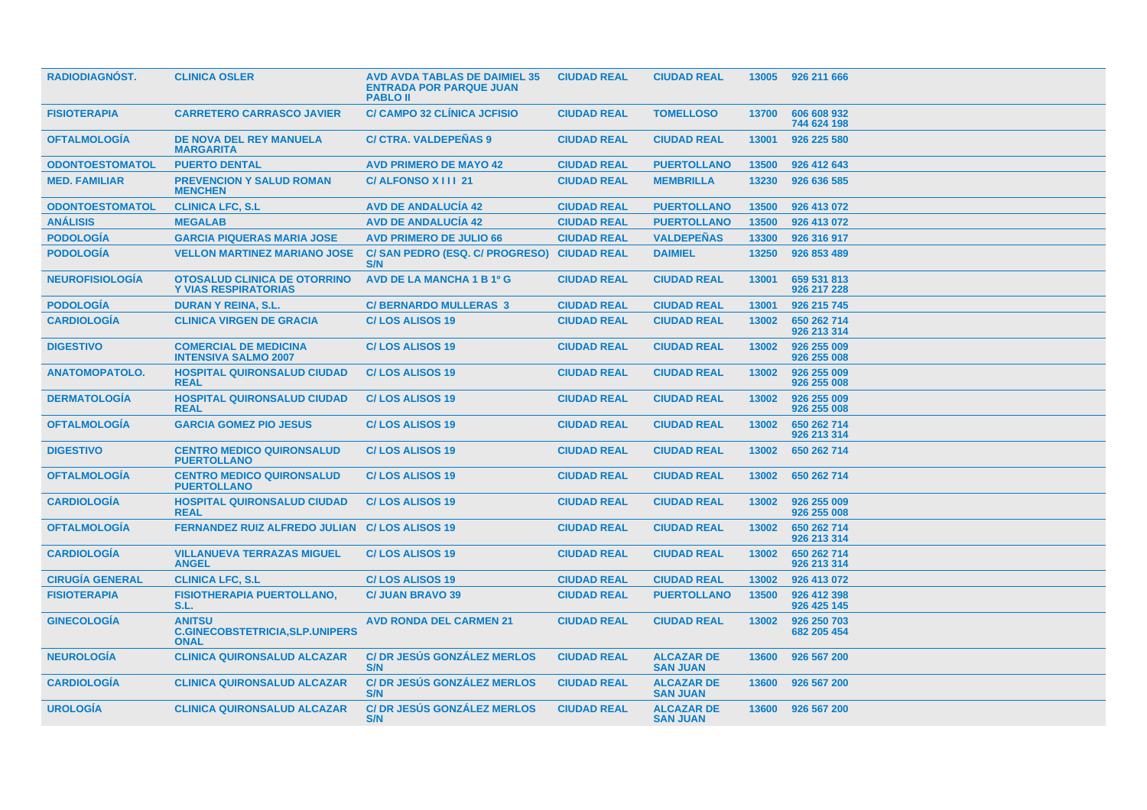| <b>RADIODIAGNOST.</b>  | <b>CLINICA OSLER</b>                                                   | <b>AVD AVDA TABLAS DE DAIMIEL 35</b><br><b>ENTRADA POR PARQUE JUAN</b><br><b>PABLO II</b> | <b>CIUDAD REAL</b> | <b>CIUDAD REAL</b>                   | 13005 | 926 211 666                |
|------------------------|------------------------------------------------------------------------|-------------------------------------------------------------------------------------------|--------------------|--------------------------------------|-------|----------------------------|
| <b>FISIOTERAPIA</b>    | <b>CARRETERO CARRASCO JAVIER</b>                                       | <b>C/ CAMPO 32 CLÍNICA JCFISIO</b>                                                        | <b>CIUDAD REAL</b> | <b>TOMELLOSO</b>                     | 13700 | 606 608 932<br>744 624 198 |
| <b>OFTALMOLOGIA</b>    | DE NOVA DEL REY MANUELA<br><b>MARGARITA</b>                            | <b>C/ CTRA. VALDEPEÑAS 9</b>                                                              | <b>CIUDAD REAL</b> | <b>CIUDAD REAL</b>                   | 13001 | 926 225 580                |
| <b>ODONTOESTOMATOL</b> | <b>PUERTO DENTAL</b>                                                   | <b>AVD PRIMERO DE MAYO 42</b>                                                             | <b>CIUDAD REAL</b> | <b>PUERTOLLANO</b>                   | 13500 | 926 412 643                |
| <b>MED. FAMILIAR</b>   | <b>PREVENCION Y SALUD ROMAN</b><br><b>MENCHEN</b>                      | C/ALFONSO X III 21                                                                        | <b>CIUDAD REAL</b> | <b>MEMBRILLA</b>                     | 13230 | 926 636 585                |
| <b>ODONTOESTOMATOL</b> | <b>CLINICA LFC, S.L</b>                                                | <b>AVD DE ANDALUCÍA 42</b>                                                                | <b>CIUDAD REAL</b> | <b>PUERTOLLANO</b>                   | 13500 | 926 413 072                |
| <b>ANÁLISIS</b>        | <b>MEGALAB</b>                                                         | <b>AVD DE ANDALUCIA 42</b>                                                                | <b>CIUDAD REAL</b> | <b>PUERTOLLANO</b>                   | 13500 | 926 413 072                |
| <b>PODOLOGÍA</b>       | <b>GARCIA PIQUERAS MARIA JOSE</b>                                      | <b>AVD PRIMERO DE JULIO 66</b>                                                            | <b>CIUDAD REAL</b> | <b>VALDEPEÑAS</b>                    | 13300 | 926 316 917                |
| <b>PODOLOGÍA</b>       | <b>VELLON MARTINEZ MARIANO JOSE</b>                                    | C/SAN PEDRO (ESQ. C/ PROGRESO)<br>S/N                                                     | <b>CIUDAD REAL</b> | <b>DAIMIEL</b>                       | 13250 | 926 853 489                |
| <b>NEUROFISIOLOGÍA</b> | <b>OTOSALUD CLINICA DE OTORRINO</b><br><b>Y VIAS RESPIRATORIAS</b>     | AVD DE LA MANCHA 1 B 1º G                                                                 | <b>CIUDAD REAL</b> | <b>CIUDAD REAL</b>                   | 13001 | 659 531 813<br>926 217 228 |
| <b>PODOLOGÍA</b>       | <b>DURAN Y REINA, S.L.</b>                                             | <b>C/ BERNARDO MULLERAS 3</b>                                                             | <b>CIUDAD REAL</b> | <b>CIUDAD REAL</b>                   | 13001 | 926 215 745                |
| <b>CARDIOLOGÍA</b>     | <b>CLINICA VIRGEN DE GRACIA</b>                                        | <b>C/LOS ALISOS 19</b>                                                                    | <b>CIUDAD REAL</b> | <b>CIUDAD REAL</b>                   | 13002 | 650 262 714<br>926 213 314 |
| <b>DIGESTIVO</b>       | <b>COMERCIAL DE MEDICINA</b><br><b>INTENSIVA SALMO 2007</b>            | <b>C/LOS ALISOS 19</b>                                                                    | <b>CIUDAD REAL</b> | <b>CIUDAD REAL</b>                   | 13002 | 926 255 009<br>926 255 008 |
| <b>ANATOMOPATOLO.</b>  | <b>HOSPITAL QUIRONSALUD CIUDAD</b><br><b>REAL</b>                      | <b>C/LOS ALISOS 19</b>                                                                    | <b>CIUDAD REAL</b> | <b>CIUDAD REAL</b>                   | 13002 | 926 255 009<br>926 255 008 |
| <b>DERMATOLOGÍA</b>    | <b>HOSPITAL QUIRONSALUD CIUDAD</b><br><b>REAL</b>                      | <b>C/LOS ALISOS 19</b>                                                                    | <b>CIUDAD REAL</b> | <b>CIUDAD REAL</b>                   | 13002 | 926 255 009<br>926 255 008 |
| <b>OFTALMOLOGIA</b>    | <b>GARCIA GOMEZ PIO JESUS</b>                                          | <b>C/LOS ALISOS 19</b>                                                                    | <b>CIUDAD REAL</b> | <b>CIUDAD REAL</b>                   | 13002 | 650 262 714<br>926 213 314 |
| <b>DIGESTIVO</b>       | <b>CENTRO MEDICO QUIRONSALUD</b><br><b>PUERTOLLANO</b>                 | <b>C/LOS ALISOS 19</b>                                                                    | <b>CIUDAD REAL</b> | <b>CIUDAD REAL</b>                   | 13002 | 650 262 714                |
| <b>OFTALMOLOGIA</b>    | <b>CENTRO MEDICO QUIRONSALUD</b><br><b>PUERTOLLANO</b>                 | <b>C/LOS ALISOS 19</b>                                                                    | <b>CIUDAD REAL</b> | <b>CIUDAD REAL</b>                   | 13002 | 650 262 714                |
| <b>CARDIOLOGÍA</b>     | <b>HOSPITAL QUIRONSALUD CIUDAD</b><br><b>REAL</b>                      | <b>C/LOS ALISOS 19</b>                                                                    | <b>CIUDAD REAL</b> | <b>CIUDAD REAL</b>                   | 13002 | 926 255 009<br>926 255 008 |
| <b>OFTALMOLOGIA</b>    | <b>FERNANDEZ RUIZ ALFREDO JULIAN</b>                                   | <b>C/LOS ALISOS 19</b>                                                                    | <b>CIUDAD REAL</b> | <b>CIUDAD REAL</b>                   | 13002 | 650 262 714<br>926 213 314 |
| <b>CARDIOLOGÍA</b>     | <b>VILLANUEVA TERRAZAS MIGUEL</b><br><b>ANGEL</b>                      | <b>C/LOS ALISOS 19</b>                                                                    | <b>CIUDAD REAL</b> | <b>CIUDAD REAL</b>                   | 13002 | 650 262 714<br>926 213 314 |
| <b>CIRUGIA GENERAL</b> | <b>CLINICA LFC, S.L</b>                                                | <b>C/LOS ALISOS 19</b>                                                                    | <b>CIUDAD REAL</b> | <b>CIUDAD REAL</b>                   | 13002 | 926 413 072                |
| <b>FISIOTERAPIA</b>    | <b>FISIOTHERAPIA PUERTOLLANO,</b><br>S.L.                              | <b>C/ JUAN BRAVO 39</b>                                                                   | <b>CIUDAD REAL</b> | <b>PUERTOLLANO</b>                   | 13500 | 926 412 398<br>926 425 145 |
| <b>GINECOLOGIA</b>     | <b>ANITSU</b><br><b>C.GINECOBSTETRICIA, SLP.UNIPERS</b><br><b>ONAL</b> | <b>AVD RONDA DEL CARMEN 21</b>                                                            | <b>CIUDAD REAL</b> | <b>CIUDAD REAL</b>                   | 13002 | 926 250 703<br>682 205 454 |
| <b>NEUROLOGÍA</b>      | <b>CLINICA QUIRONSALUD ALCAZAR</b>                                     | <b>C/DR JESUS GONZALEZ MERLOS</b><br>S/N                                                  | <b>CIUDAD REAL</b> | <b>ALCAZAR DE</b><br><b>SAN JUAN</b> | 13600 | 926 567 200                |
| <b>CARDIOLOGIA</b>     | <b>CLINICA QUIRONSALUD ALCAZAR</b>                                     | <b>C/DR JESUS GONZALEZ MERLOS</b><br>S/N                                                  | <b>CIUDAD REAL</b> | <b>ALCAZAR DE</b><br><b>SAN JUAN</b> | 13600 | 926 567 200                |
| <b>UROLOGÍA</b>        | <b>CLINICA QUIRONSALUD ALCAZAR</b>                                     | <b>C/ DR JESÚS GONZÁLEZ MERLOS</b><br>S/N                                                 | <b>CIUDAD REAL</b> | <b>ALCAZAR DE</b><br><b>SAN JUAN</b> | 13600 | 926 567 200                |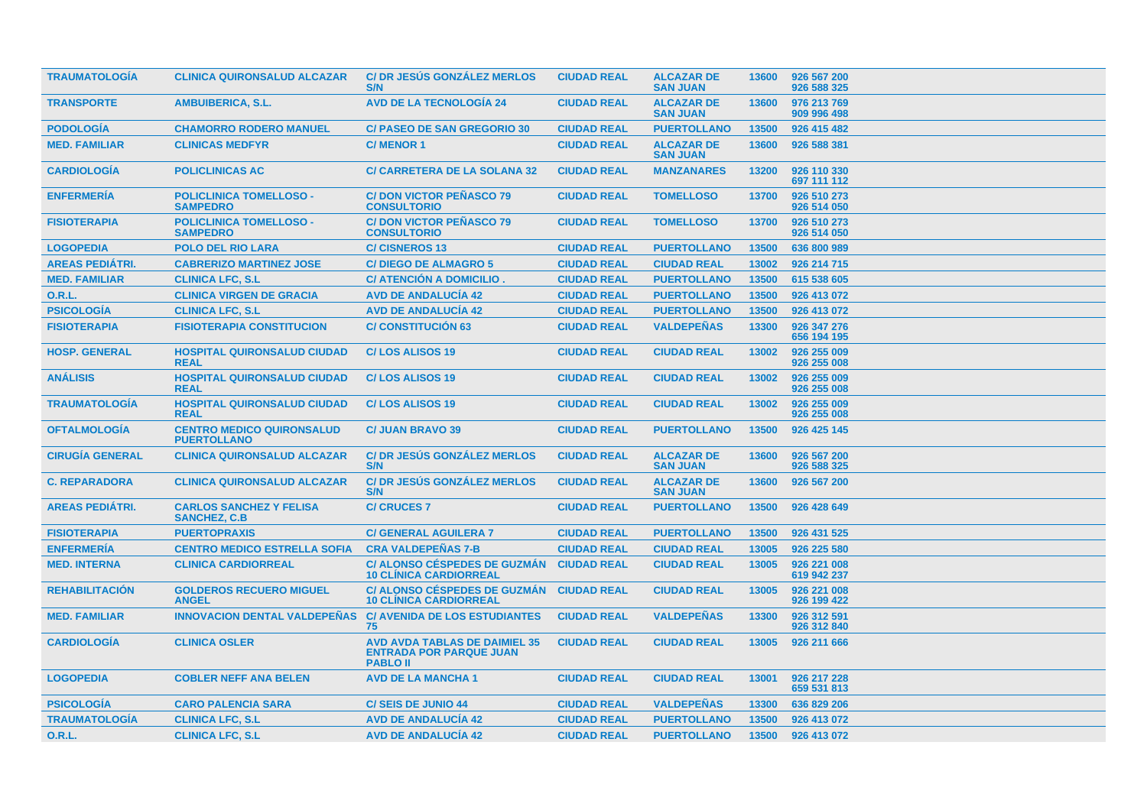| <b>TRAUMATOLOGIA</b>   | <b>CLINICA QUIRONSALUD ALCAZAR</b>                     | <b>C/DR JESÚS GONZÁLEZ MERLOS</b><br>S/N                                                  | <b>CIUDAD REAL</b> | <b>ALCAZAR DE</b><br><b>SAN JUAN</b> | 13600 | 926 567 200<br>926 588 325 |
|------------------------|--------------------------------------------------------|-------------------------------------------------------------------------------------------|--------------------|--------------------------------------|-------|----------------------------|
| <b>TRANSPORTE</b>      | <b>AMBUIBERICA, S.L.</b>                               | <b>AVD DE LA TECNOLOGÍA 24</b>                                                            | <b>CIUDAD REAL</b> | <b>ALCAZAR DE</b><br><b>SAN JUAN</b> | 13600 | 976 213 769<br>909 996 498 |
| <b>PODOLOGÍA</b>       | <b>CHAMORRO RODERO MANUEL</b>                          | <b>C/ PASEO DE SAN GREGORIO 30</b>                                                        | <b>CIUDAD REAL</b> | <b>PUERTOLLANO</b>                   | 13500 | 926 415 482                |
| <b>MED. FAMILIAR</b>   | <b>CLINICAS MEDFYR</b>                                 | <b>C/MENOR1</b>                                                                           | <b>CIUDAD REAL</b> | <b>ALCAZAR DE</b><br><b>SAN JUAN</b> | 13600 | 926 588 381                |
| <b>CARDIOLOGÍA</b>     | <b>POLICLINICAS AC</b>                                 | <b>C/ CARRETERA DE LA SOLANA 32</b>                                                       | <b>CIUDAD REAL</b> | <b>MANZANARES</b>                    | 13200 | 926 110 330<br>697 111 112 |
| <b>ENFERMERIA</b>      | <b>POLICLINICA TOMELLOSO -</b><br><b>SAMPEDRO</b>      | <b>C/DON VICTOR PEÑASCO 79</b><br><b>CONSULTORIO</b>                                      | <b>CIUDAD REAL</b> | <b>TOMELLOSO</b>                     | 13700 | 926 510 273<br>926 514 050 |
| <b>FISIOTERAPIA</b>    | <b>POLICLINICA TOMELLOSO -</b><br><b>SAMPEDRO</b>      | <b>C/DON VICTOR PEÑASCO 79</b><br><b>CONSULTORIO</b>                                      | <b>CIUDAD REAL</b> | <b>TOMELLOSO</b>                     | 13700 | 926 510 273<br>926 514 050 |
| <b>LOGOPEDIA</b>       | <b>POLO DEL RIO LARA</b>                               | <b>C/CISNEROS 13</b>                                                                      | <b>CIUDAD REAL</b> | <b>PUERTOLLANO</b>                   | 13500 | 636 800 989                |
| <b>AREAS PEDIÁTRI.</b> | <b>CABRERIZO MARTINEZ JOSE</b>                         | <b>C/DIEGO DE ALMAGRO 5</b>                                                               | <b>CIUDAD REAL</b> | <b>CIUDAD REAL</b>                   | 13002 | 926 214 715                |
| <b>MED. FAMILIAR</b>   | <b>CLINICA LFC, S.L</b>                                | C/ ATENCIÓN A DOMICILIO.                                                                  | <b>CIUDAD REAL</b> | <b>PUERTOLLANO</b>                   | 13500 | 615 538 605                |
| <b>O.R.L.</b>          | <b>CLINICA VIRGEN DE GRACIA</b>                        | <b>AVD DE ANDALUCÍA 42</b>                                                                | <b>CIUDAD REAL</b> | <b>PUERTOLLANO</b>                   | 13500 | 926 413 072                |
| <b>PSICOLOGÍA</b>      | <b>CLINICA LFC, S.L</b>                                | <b>AVD DE ANDALUCIA 42</b>                                                                | <b>CIUDAD REAL</b> | <b>PUERTOLLANO</b>                   | 13500 | 926 413 072                |
| <b>FISIOTERAPIA</b>    | <b>FISIOTERAPIA CONSTITUCION</b>                       | <b>C/ CONSTITUCIÓN 63</b>                                                                 | <b>CIUDAD REAL</b> | <b>VALDEPEÑAS</b>                    | 13300 | 926 347 276<br>656 194 195 |
| <b>HOSP. GENERAL</b>   | <b>HOSPITAL QUIRONSALUD CIUDAD</b><br><b>REAL</b>      | <b>C/LOS ALISOS 19</b>                                                                    | <b>CIUDAD REAL</b> | <b>CIUDAD REAL</b>                   | 13002 | 926 255 009<br>926 255 008 |
| <b>ANALISIS</b>        | <b>HOSPITAL QUIRONSALUD CIUDAD</b><br><b>REAL</b>      | <b>C/LOS ALISOS 19</b>                                                                    | <b>CIUDAD REAL</b> | <b>CIUDAD REAL</b>                   | 13002 | 926 255 009<br>926 255 008 |
| <b>TRAUMATOLOGIA</b>   | <b>HOSPITAL QUIRONSALUD CIUDAD</b><br><b>REAL</b>      | <b>C/LOS ALISOS 19</b>                                                                    | <b>CIUDAD REAL</b> | <b>CIUDAD REAL</b>                   | 13002 | 926 255 009<br>926 255 008 |
| <b>OFTALMOLOGIA</b>    | <b>CENTRO MEDICO QUIRONSALUD</b><br><b>PUERTOLLANO</b> | <b>C/ JUAN BRAVO 39</b>                                                                   | <b>CIUDAD REAL</b> | <b>PUERTOLLANO</b>                   | 13500 | 926 425 145                |
| <b>CIRUGIA GENERAL</b> | <b>CLINICA QUIRONSALUD ALCAZAR</b>                     | <b>C/DR JESUS GONZALEZ MERLOS</b><br>S/N                                                  | <b>CIUDAD REAL</b> | <b>ALCAZAR DE</b><br><b>SAN JUAN</b> | 13600 | 926 567 200<br>926 588 325 |
| <b>C. REPARADORA</b>   | <b>CLINICA QUIRONSALUD ALCAZAR</b>                     | <b>C/DR JESUS GONZALEZ MERLOS</b><br>S/N                                                  | <b>CIUDAD REAL</b> | <b>ALCAZAR DE</b><br><b>SAN JUAN</b> | 13600 | 926 567 200                |
| <b>AREAS PEDIÁTRI.</b> | <b>CARLOS SANCHEZ Y FELISA</b><br><b>SANCHEZ, C.B.</b> | <b>C/ CRUCES 7</b>                                                                        | <b>CIUDAD REAL</b> | <b>PUERTOLLANO</b>                   | 13500 | 926 428 649                |
| <b>FISIOTERAPIA</b>    | <b>PUERTOPRAXIS</b>                                    | <b>C/ GENERAL AGUILERA 7</b>                                                              | <b>CIUDAD REAL</b> | <b>PUERTOLLANO</b>                   | 13500 | 926 431 525                |
| <b>ENFERMERÍA</b>      | <b>CENTRO MEDICO ESTRELLA SOFIA</b>                    | <b>CRA VALDEPEÑAS 7-B</b>                                                                 | <b>CIUDAD REAL</b> | <b>CIUDAD REAL</b>                   | 13005 | 926 225 580                |
| <b>MED. INTERNA</b>    | <b>CLINICA CARDIORREAL</b>                             | <b>C/ ALONSO CÉSPEDES DE GUZMÁN</b><br><b>10 CLÍNICA CARDIORREAL</b>                      | <b>CIUDAD REAL</b> | <b>CIUDAD REAL</b>                   | 13005 | 926 221 008<br>619 942 237 |
| <b>REHABILITACIÓN</b>  | <b>GOLDEROS RECUERO MIGUEL</b><br><b>ANGEL</b>         | <b>C/ ALONSO CÉSPEDES DE GUZMÁN</b><br><b>10 CLINICA CARDIORREAL</b>                      | <b>CIUDAD REAL</b> | <b>CIUDAD REAL</b>                   | 13005 | 926 221 008<br>926 199 422 |
| <b>MED. FAMILIAR</b>   | <b>INNOVACION DENTAL VALDEPEÑAS</b>                    | <b>C/ AVENIDA DE LOS ESTUDIANTES</b><br>75                                                | <b>CIUDAD REAL</b> | <b>VALDEPEÑAS</b>                    | 13300 | 926 312 591<br>926 312 840 |
| <b>CARDIOLOGÍA</b>     | <b>CLINICA OSLER</b>                                   | <b>AVD AVDA TABLAS DE DAIMIEL 35</b><br><b>ENTRADA POR PARQUE JUAN</b><br><b>PABLO II</b> | <b>CIUDAD REAL</b> | <b>CIUDAD REAL</b>                   | 13005 | 926 211 666                |
| <b>LOGOPEDIA</b>       | <b>COBLER NEFF ANA BELEN</b>                           | <b>AVD DE LA MANCHA 1</b>                                                                 | <b>CIUDAD REAL</b> | <b>CIUDAD REAL</b>                   | 13001 | 926 217 228<br>659 531 813 |
| <b>PSICOLOGÍA</b>      | <b>CARO PALENCIA SARA</b>                              | <b>C/SEIS DE JUNIO 44</b>                                                                 | <b>CIUDAD REAL</b> | <b>VALDEPEÑAS</b>                    | 13300 | 636 829 206                |
| <b>TRAUMATOLOGÍA</b>   | <b>CLINICA LFC, S.L</b>                                | <b>AVD DE ANDALUCÍA 42</b>                                                                | <b>CIUDAD REAL</b> | <b>PUERTOLLANO</b>                   | 13500 | 926 413 072                |
| <b>O.R.L.</b>          | <b>CLINICA LFC, S.L</b>                                | <b>AVD DE ANDALUCÍA 42</b>                                                                | <b>CIUDAD REAL</b> | <b>PUERTOLLANO</b>                   | 13500 | 926 413 072                |
|                        |                                                        |                                                                                           |                    |                                      |       |                            |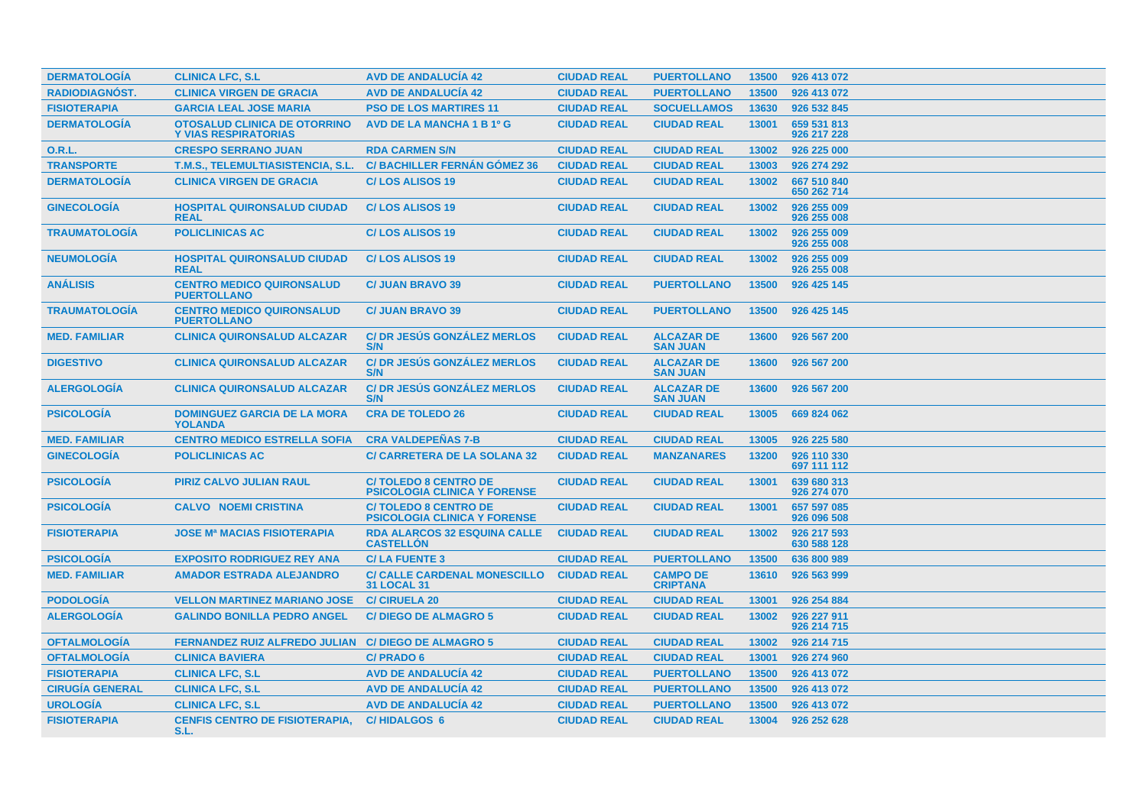| <b>DERMATOLOGIA</b>    | <b>CLINICA LFC, S.L</b>                                            | <b>AVD DE ANDALUCIA 42</b>                                         | <b>CIUDAD REAL</b> | <b>PUERTOLLANO</b>                   | 13500 | 926 413 072                |
|------------------------|--------------------------------------------------------------------|--------------------------------------------------------------------|--------------------|--------------------------------------|-------|----------------------------|
| RADIODIAGNÓST.         | <b>CLINICA VIRGEN DE GRACIA</b>                                    | <b>AVD DE ANDALUCÍA 42</b>                                         | <b>CIUDAD REAL</b> | <b>PUERTOLLANO</b>                   | 13500 | 926 413 072                |
| <b>FISIOTERAPIA</b>    | <b>GARCIA LEAL JOSE MARIA</b>                                      | <b>PSO DE LOS MARTIRES 11</b>                                      | <b>CIUDAD REAL</b> | <b>SOCUELLAMOS</b>                   | 13630 | 926 532 845                |
| <b>DERMATOLOGÍA</b>    | <b>OTOSALUD CLINICA DE OTORRINO</b><br><b>Y VIAS RESPIRATORIAS</b> | <b>AVD DE LA MANCHA 1 B 1º G</b>                                   | <b>CIUDAD REAL</b> | <b>CIUDAD REAL</b>                   | 13001 | 659 531 813<br>926 217 228 |
| <b>O.R.L.</b>          | <b>CRESPO SERRANO JUAN</b>                                         | <b>RDA CARMEN S/N</b>                                              | <b>CIUDAD REAL</b> | <b>CIUDAD REAL</b>                   | 13002 | 926 225 000                |
| <b>TRANSPORTE</b>      | T.M.S., TELEMULTIASISTENCIA, S.L.                                  | <b>C/BACHILLER FERNÁN GÓMEZ 36</b>                                 | <b>CIUDAD REAL</b> | <b>CIUDAD REAL</b>                   | 13003 | 926 274 292                |
| <b>DERMATOLOGÍA</b>    | <b>CLINICA VIRGEN DE GRACIA</b>                                    | <b>C/LOS ALISOS 19</b>                                             | <b>CIUDAD REAL</b> | <b>CIUDAD REAL</b>                   | 13002 | 667 510 840<br>650 262 714 |
| <b>GINECOLOGIA</b>     | <b>HOSPITAL QUIRONSALUD CIUDAD</b><br><b>REAL</b>                  | <b>C/LOS ALISOS 19</b>                                             | <b>CIUDAD REAL</b> | <b>CIUDAD REAL</b>                   | 13002 | 926 255 009<br>926 255 008 |
| <b>TRAUMATOLOGIA</b>   | <b>POLICLINICAS AC</b>                                             | <b>C/LOS ALISOS 19</b>                                             | <b>CIUDAD REAL</b> | <b>CIUDAD REAL</b>                   | 13002 | 926 255 009<br>926 255 008 |
| <b>NEUMOLOGÍA</b>      | <b>HOSPITAL QUIRONSALUD CIUDAD</b><br><b>REAL</b>                  | <b>C/LOS ALISOS 19</b>                                             | <b>CIUDAD REAL</b> | <b>CIUDAD REAL</b>                   | 13002 | 926 255 009<br>926 255 008 |
| <b>ANÁLISIS</b>        | <b>CENTRO MEDICO QUIRONSALUD</b><br><b>PUERTOLLANO</b>             | <b>C/ JUAN BRAVO 39</b>                                            | <b>CIUDAD REAL</b> | <b>PUERTOLLANO</b>                   | 13500 | 926 425 145                |
| <b>TRAUMATOLOGIA</b>   | <b>CENTRO MEDICO QUIRONSALUD</b><br><b>PUERTOLLANO</b>             | <b>C/ JUAN BRAVO 39</b>                                            | <b>CIUDAD REAL</b> | <b>PUERTOLLANO</b>                   | 13500 | 926 425 145                |
| <b>MED. FAMILIAR</b>   | <b>CLINICA QUIRONSALUD ALCAZAR</b>                                 | <b>C/DR JESUS GONZALEZ MERLOS</b><br>S/N                           | <b>CIUDAD REAL</b> | <b>ALCAZAR DE</b><br><b>SAN JUAN</b> | 13600 | 926 567 200                |
| <b>DIGESTIVO</b>       | <b>CLINICA QUIRONSALUD ALCAZAR</b>                                 | <b>C/DR JESUS GONZALEZ MERLOS</b><br>S/N                           | <b>CIUDAD REAL</b> | <b>ALCAZAR DE</b><br><b>SAN JUAN</b> | 13600 | 926 567 200                |
| <b>ALERGOLOGIA</b>     | <b>CLINICA QUIRONSALUD ALCAZAR</b>                                 | <b>C/DR JESÚS GONZÁLEZ MERLOS</b><br>S/N                           | <b>CIUDAD REAL</b> | <b>ALCAZAR DE</b><br><b>SAN JUAN</b> | 13600 | 926 567 200                |
| <b>PSICOLOGIA</b>      | <b>DOMINGUEZ GARCIA DE LA MORA</b><br><b>YOLANDA</b>               | <b>CRA DE TOLEDO 26</b>                                            | <b>CIUDAD REAL</b> | <b>CIUDAD REAL</b>                   | 13005 | 669 824 062                |
| <b>MED. FAMILIAR</b>   | <b>CENTRO MEDICO ESTRELLA SOFIA</b>                                | <b>CRA VALDEPEÑAS 7-B</b>                                          | <b>CIUDAD REAL</b> | <b>CIUDAD REAL</b>                   | 13005 | 926 225 580                |
| <b>GINECOLOGÍA</b>     | <b>POLICLINICAS AC</b>                                             | <b>C/ CARRETERA DE LA SOLANA 32</b>                                | <b>CIUDAD REAL</b> | <b>MANZANARES</b>                    | 13200 | 926 110 330<br>697 111 112 |
| <b>PSICOLOGÍA</b>      | <b>PIRIZ CALVO JULIAN RAUL</b>                                     | <b>C/TOLEDO 8 CENTRO DE</b><br><b>PSICOLOGIA CLINICA Y FORENSE</b> | <b>CIUDAD REAL</b> | <b>CIUDAD REAL</b>                   | 13001 | 639 680 313<br>926 274 070 |
| <b>PSICOLOGÍA</b>      | <b>CALVO NOEMI CRISTINA</b>                                        | <b>C/TOLEDO 8 CENTRO DE</b><br><b>PSICOLOGIA CLINICA Y FORENSE</b> | <b>CIUDAD REAL</b> | <b>CIUDAD REAL</b>                   | 13001 | 657 597 085<br>926 096 508 |
| <b>FISIOTERAPIA</b>    | <b>JOSE Mª MACIAS FISIOTERAPIA</b>                                 | <b>RDA ALARCOS 32 ESQUINA CALLE</b><br><b>CASTELLON</b>            | <b>CIUDAD REAL</b> | <b>CIUDAD REAL</b>                   | 13002 | 926 217 593<br>630 588 128 |
| <b>PSICOLOGIA</b>      | <b>EXPOSITO RODRIGUEZ REY ANA</b>                                  | <b>C/LA FUENTE 3</b>                                               | <b>CIUDAD REAL</b> | <b>PUERTOLLANO</b>                   | 13500 | 636 800 989                |
| <b>MED. FAMILIAR</b>   | <b>AMADOR ESTRADA ALEJANDRO</b>                                    | <b>C/ CALLE CARDENAL MONESCILLO</b><br><b>31 LOCAL 31</b>          | <b>CIUDAD REAL</b> | <b>CAMPO DE</b><br><b>CRIPTANA</b>   | 13610 | 926 563 999                |
| <b>PODOLOGÍA</b>       | <b>VELLON MARTINEZ MARIANO JOSE</b>                                | <b>C/ CIRUELA 20</b>                                               | <b>CIUDAD REAL</b> | <b>CIUDAD REAL</b>                   | 13001 | 926 254 884                |
| <b>ALERGOLOGIA</b>     | <b>GALINDO BONILLA PEDRO ANGEL</b>                                 | <b>C/DIEGO DE ALMAGRO 5</b>                                        | <b>CIUDAD REAL</b> | <b>CIUDAD REAL</b>                   | 13002 | 926 227 911<br>926 214 715 |
| <b>OFTALMOLOGIA</b>    | <b>FERNANDEZ RUIZ ALFREDO JULIAN</b>                               | <b>C/DIEGO DE ALMAGRO 5</b>                                        | <b>CIUDAD REAL</b> | <b>CIUDAD REAL</b>                   | 13002 | 926 214 715                |
| <b>OFTALMOLOGIA</b>    | <b>CLINICA BAVIERA</b>                                             | C/PRADO 6                                                          | <b>CIUDAD REAL</b> | <b>CIUDAD REAL</b>                   | 13001 | 926 274 960                |
| <b>FISIOTERAPIA</b>    | <b>CLINICA LFC, S.L</b>                                            | <b>AVD DE ANDALUCÍA 42</b>                                         | <b>CIUDAD REAL</b> | <b>PUERTOLLANO</b>                   | 13500 | 926 413 072                |
| <b>CIRUGÍA GENERAL</b> | <b>CLINICA LFC, S.L</b>                                            | <b>AVD DE ANDALUCÍA 42</b>                                         | <b>CIUDAD REAL</b> | <b>PUERTOLLANO</b>                   | 13500 | 926 413 072                |
| <b>UROLOGÍA</b>        | <b>CLINICA LFC, S.L</b>                                            | <b>AVD DE ANDALUCÍA 42</b>                                         | <b>CIUDAD REAL</b> | <b>PUERTOLLANO</b>                   | 13500 | 926 413 072                |
| <b>FISIOTERAPIA</b>    | <b>CENFIS CENTRO DE FISIOTERAPIA,</b><br>S.L.                      | <b>C/HIDALGOS 6</b>                                                | <b>CIUDAD REAL</b> | <b>CIUDAD REAL</b>                   | 13004 | 926 252 628                |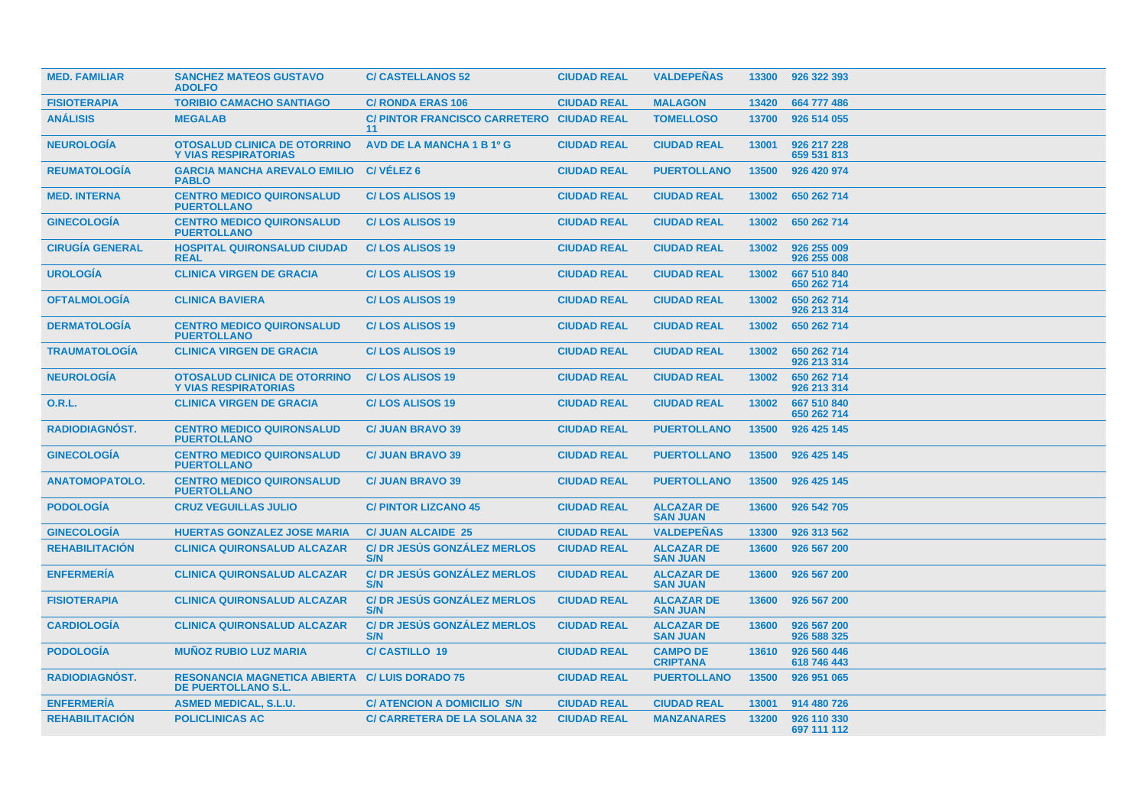| <b>MED. FAMILIAR</b>   | <b>SANCHEZ MATEOS GUSTAVO</b><br><b>ADOLFO</b>                     | <b>C/CASTELLANOS 52</b>                         | <b>CIUDAD REAL</b> | <b>VALDEPEÑAS</b>                    | 13300 | 926 322 393                |
|------------------------|--------------------------------------------------------------------|-------------------------------------------------|--------------------|--------------------------------------|-------|----------------------------|
| <b>FISIOTERAPIA</b>    | <b>TORIBIO CAMACHO SANTIAGO</b>                                    | <b>C/ RONDA ERAS 106</b>                        | <b>CIUDAD REAL</b> | <b>MALAGON</b>                       | 13420 | 664 777 486                |
| <b>ANÁLISIS</b>        | <b>MEGALAB</b>                                                     | C/ PINTOR FRANCISCO CARRETERO CIUDAD REAL<br>11 |                    | <b>TOMELLOSO</b>                     | 13700 | 926 514 055                |
| <b>NEUROLOGÍA</b>      | <b>OTOSALUD CLINICA DE OTORRINO</b><br><b>Y VIAS RESPIRATORIAS</b> | AVD DE LA MANCHA 1 B 1º G                       | <b>CIUDAD REAL</b> | <b>CIUDAD REAL</b>                   | 13001 | 926 217 228<br>659 531 813 |
| <b>REUMATOLOGÍA</b>    | <b>GARCIA MANCHA AREVALO EMILIO</b><br><b>PABLO</b>                | C/VÉLEZ <sub>6</sub>                            | <b>CIUDAD REAL</b> | <b>PUERTOLLANO</b>                   | 13500 | 926 420 974                |
| <b>MED. INTERNA</b>    | <b>CENTRO MEDICO QUIRONSALUD</b><br><b>PUERTOLLANO</b>             | <b>C/LOS ALISOS 19</b>                          | <b>CIUDAD REAL</b> | <b>CIUDAD REAL</b>                   | 13002 | 650 262 714                |
| <b>GINECOLOGÍA</b>     | <b>CENTRO MEDICO QUIRONSALUD</b><br><b>PUERTOLLANO</b>             | <b>C/LOS ALISOS 19</b>                          | <b>CIUDAD REAL</b> | <b>CIUDAD REAL</b>                   | 13002 | 650 262 714                |
| <b>CIRUGIA GENERAL</b> | <b>HOSPITAL QUIRONSALUD CIUDAD</b><br><b>REAL</b>                  | <b>C/LOS ALISOS 19</b>                          | <b>CIUDAD REAL</b> | <b>CIUDAD REAL</b>                   | 13002 | 926 255 009<br>926 255 008 |
| <b>UROLOGIA</b>        | <b>CLINICA VIRGEN DE GRACIA</b>                                    | <b>C/LOS ALISOS 19</b>                          | <b>CIUDAD REAL</b> | <b>CIUDAD REAL</b>                   | 13002 | 667 510 840<br>650 262 714 |
| <b>OFTALMOLOGÍA</b>    | <b>CLINICA BAVIERA</b>                                             | <b>C/LOS ALISOS 19</b>                          | <b>CIUDAD REAL</b> | <b>CIUDAD REAL</b>                   | 13002 | 650 262 714<br>926 213 314 |
| <b>DERMATOLOGIA</b>    | <b>CENTRO MEDICO QUIRONSALUD</b><br><b>PUERTOLLANO</b>             | <b>C/LOS ALISOS 19</b>                          | <b>CIUDAD REAL</b> | <b>CIUDAD REAL</b>                   | 13002 | 650 262 714                |
| <b>TRAUMATOLOGIA</b>   | <b>CLINICA VIRGEN DE GRACIA</b>                                    | <b>C/LOS ALISOS 19</b>                          | <b>CIUDAD REAL</b> | <b>CIUDAD REAL</b>                   | 13002 | 650 262 714<br>926 213 314 |
| <b>NEUROLOGÍA</b>      | <b>OTOSALUD CLINICA DE OTORRINO</b><br><b>Y VIAS RESPIRATORIAS</b> | <b>C/LOS ALISOS 19</b>                          | <b>CIUDAD REAL</b> | <b>CIUDAD REAL</b>                   | 13002 | 650 262 714<br>926 213 314 |
| 0.R.L.                 | <b>CLINICA VIRGEN DE GRACIA</b>                                    | <b>C/LOS ALISOS 19</b>                          | <b>CIUDAD REAL</b> | <b>CIUDAD REAL</b>                   | 13002 | 667 510 840<br>650 262 714 |
| <b>RADIODIAGNOST.</b>  | <b>CENTRO MEDICO QUIRONSALUD</b><br><b>PUERTOLLANO</b>             | <b>C/ JUAN BRAVO 39</b>                         | <b>CIUDAD REAL</b> | <b>PUERTOLLANO</b>                   | 13500 | 926 425 145                |
| <b>GINECOLOGÍA</b>     | <b>CENTRO MEDICO QUIRONSALUD</b><br><b>PUERTOLLANO</b>             | <b>C/ JUAN BRAVO 39</b>                         | <b>CIUDAD REAL</b> | <b>PUERTOLLANO</b>                   | 13500 | 926 425 145                |
| <b>ANATOMOPATOLO.</b>  | <b>CENTRO MEDICO QUIRONSALUD</b><br><b>PUERTOLLANO</b>             | <b>C/ JUAN BRAVO 39</b>                         | <b>CIUDAD REAL</b> | <b>PUERTOLLANO</b>                   | 13500 | 926 425 145                |
| <b>PODOLOGÍA</b>       | <b>CRUZ VEGUILLAS JULIO</b>                                        | <b>C/PINTOR LIZCANO 45</b>                      | <b>CIUDAD REAL</b> | <b>ALCAZAR DE</b><br><b>SAN JUAN</b> | 13600 | 926 542 705                |
| <b>GINECOLOGIA</b>     | <b>HUERTAS GONZALEZ JOSE MARIA</b>                                 | <b>C/ JUAN ALCAIDE 25</b>                       | <b>CIUDAD REAL</b> | <b>VALDEPENAS</b>                    | 13300 | 926 313 562                |
| <b>REHABILITACIÓN</b>  | <b>CLINICA QUIRONSALUD ALCAZAR</b>                                 | C/ DR JESÚS GONZÁLEZ MERLOS<br>S/N              | <b>CIUDAD REAL</b> | <b>ALCAZAR DE</b><br><b>SAN JUAN</b> | 13600 | 926 567 200                |
| <b>ENFERMERIA</b>      | <b>CLINICA QUIRONSALUD ALCAZAR</b>                                 | <b>C/ DR JESÚS GONZÁLEZ MERLOS</b><br>S/N       | <b>CIUDAD REAL</b> | <b>ALCAZAR DE</b><br><b>SAN JUAN</b> | 13600 | 926 567 200                |
| <b>FISIOTERAPIA</b>    | <b>CLINICA QUIRONSALUD ALCAZAR</b>                                 | <b>C/DR JESUS GONZALEZ MERLOS</b><br>S/N        | <b>CIUDAD REAL</b> | <b>ALCAZAR DE</b><br><b>SAN JUAN</b> | 13600 | 926 567 200                |
| <b>CARDIOLOGÍA</b>     | <b>CLINICA QUIRONSALUD ALCAZAR</b>                                 | <b>C/DR JESÚS GONZÁLEZ MERLOS</b><br>S/N        | <b>CIUDAD REAL</b> | <b>ALCAZAR DE</b><br><b>SAN JUAN</b> | 13600 | 926 567 200<br>926 588 325 |
| <b>PODOLOGIA</b>       | <b>MUÑOZ RUBIO LUZ MARIA</b>                                       | <b>C/CASTILLO 19</b>                            | <b>CIUDAD REAL</b> | <b>CAMPO DE</b><br><b>CRIPTANA</b>   | 13610 | 926 560 446<br>618 746 443 |
| <b>RADIODIAGNÓST.</b>  | <b>RESONANCIA MAGNETICA ABIERTA</b><br>DE PUERTOLLANO S.L.         | <b>C/LUIS DORADO 75</b>                         | <b>CIUDAD REAL</b> | <b>PUERTOLLANO</b>                   | 13500 | 926 951 065                |
| <b>ENFERMERÍA</b>      | <b>ASMED MEDICAL, S.L.U.</b>                                       | <b>C/ ATENCION A DOMICILIO S/N</b>              | <b>CIUDAD REAL</b> | <b>CIUDAD REAL</b>                   | 13001 | 914 480 726                |
| <b>REHABILITACIÓN</b>  | <b>POLICLINICAS AC</b>                                             | <b>C/ CARRETERA DE LA SOLANA 32</b>             | <b>CIUDAD REAL</b> | <b>MANZANARES</b>                    | 13200 | 926 110 330<br>697 111 112 |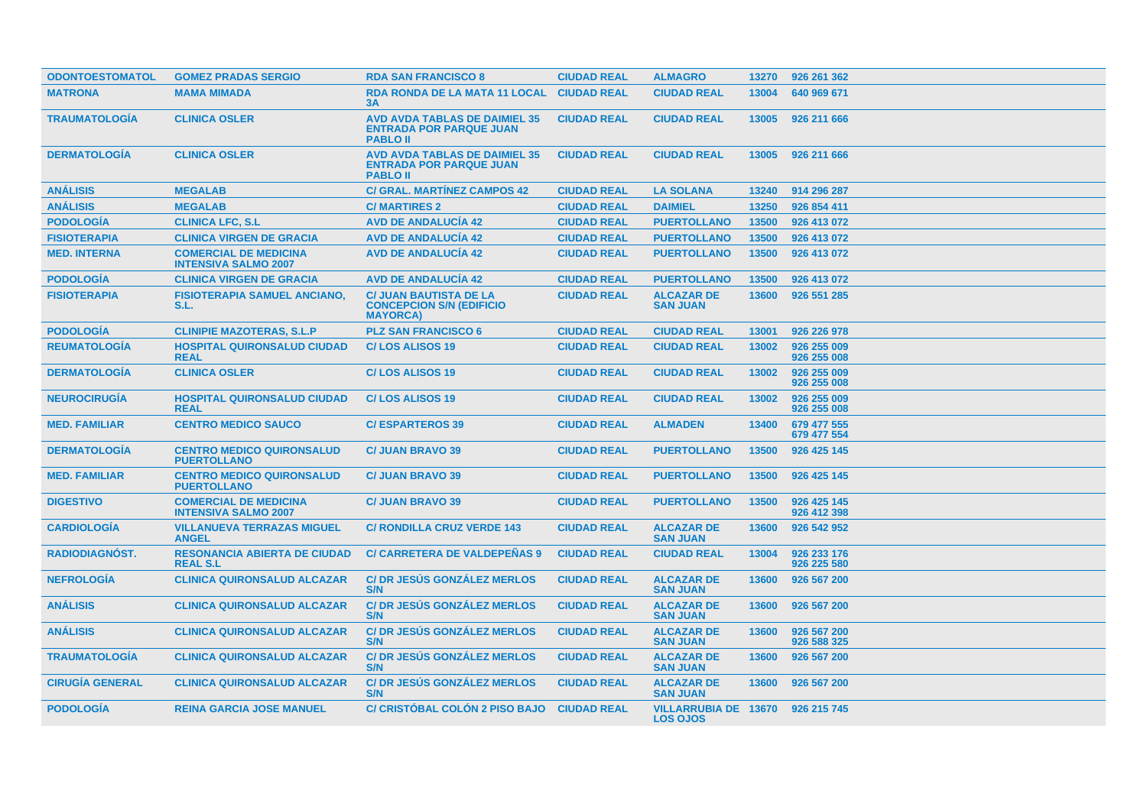| <b>ODONTOESTOMATOL</b> | <b>GOMEZ PRADAS SERGIO</b>                                  | <b>RDA SAN FRANCISCO 8</b>                                                                | <b>CIUDAD REAL</b> | <b>ALMAGRO</b>                                 | 13270 | 926 261 362                |
|------------------------|-------------------------------------------------------------|-------------------------------------------------------------------------------------------|--------------------|------------------------------------------------|-------|----------------------------|
| <b>MATRONA</b>         | <b>MAMA MIMADA</b>                                          | <b>RDA RONDA DE LA MATA 11 LOCAL</b><br>3A                                                | <b>CIUDAD REAL</b> | <b>CIUDAD REAL</b>                             | 13004 | 640 969 671                |
| <b>TRAUMATOLOGIA</b>   | <b>CLINICA OSLER</b>                                        | <b>AVD AVDA TABLAS DE DAIMIEL 35</b><br><b>ENTRADA POR PARQUE JUAN</b><br><b>PABLO II</b> | <b>CIUDAD REAL</b> | <b>CIUDAD REAL</b>                             | 13005 | 926 211 666                |
| <b>DERMATOLOGIA</b>    | <b>CLINICA OSLER</b>                                        | <b>AVD AVDA TABLAS DE DAIMIEL 35</b><br><b>ENTRADA POR PARQUE JUAN</b><br><b>PABLO II</b> | <b>CIUDAD REAL</b> | <b>CIUDAD REAL</b>                             | 13005 | 926 211 666                |
| <b>ANÁLISIS</b>        | <b>MEGALAB</b>                                              | <b>C/ GRAL. MARTÍNEZ CAMPOS 42</b>                                                        | <b>CIUDAD REAL</b> | <b>LA SOLANA</b>                               | 13240 | 914 296 287                |
| <b>ANÁLISIS</b>        | <b>MEGALAB</b>                                              | <b>C/MARTIRES 2</b>                                                                       | <b>CIUDAD REAL</b> | <b>DAIMIEL</b>                                 | 13250 | 926 854 411                |
| <b>PODOLOGÍA</b>       | <b>CLINICA LFC, S.L</b>                                     | <b>AVD DE ANDALUCÍA 42</b>                                                                | <b>CIUDAD REAL</b> | <b>PUERTOLLANO</b>                             | 13500 | 926 413 072                |
| <b>FISIOTERAPIA</b>    | <b>CLINICA VIRGEN DE GRACIA</b>                             | <b>AVD DE ANDALUCÍA 42</b>                                                                | <b>CIUDAD REAL</b> | <b>PUERTOLLANO</b>                             | 13500 | 926 413 072                |
| <b>MED. INTERNA</b>    | <b>COMERCIAL DE MEDICINA</b><br><b>INTENSIVA SALMO 2007</b> | <b>AVD DE ANDALUCIA 42</b>                                                                | <b>CIUDAD REAL</b> | <b>PUERTOLLANO</b>                             | 13500 | 926 413 072                |
| <b>PODOLOGÍA</b>       | <b>CLINICA VIRGEN DE GRACIA</b>                             | <b>AVD DE ANDALUCÍA 42</b>                                                                | <b>CIUDAD REAL</b> | <b>PUERTOLLANO</b>                             | 13500 | 926 413 072                |
| <b>FISIOTERAPIA</b>    | <b>FISIOTERAPIA SAMUEL ANCIANO,</b><br>S.L.                 | <b>C/ JUAN BAUTISTA DE LA</b><br><b>CONCEPCION S/N (EDIFICIO</b><br><b>MAYORCA</b> )      | <b>CIUDAD REAL</b> | <b>ALCAZAR DE</b><br><b>SAN JUAN</b>           | 13600 | 926 551 285                |
| <b>PODOLOGIA</b>       | <b>CLINIPIE MAZOTERAS, S.L.P</b>                            | <b>PLZ SAN FRANCISCO 6</b>                                                                | <b>CIUDAD REAL</b> | <b>CIUDAD REAL</b>                             | 13001 | 926 226 978                |
| <b>REUMATOLOGIA</b>    | <b>HOSPITAL QUIRONSALUD CIUDAD</b><br><b>REAL</b>           | <b>C/LOS ALISOS 19</b>                                                                    | <b>CIUDAD REAL</b> | <b>CIUDAD REAL</b>                             | 13002 | 926 255 009<br>926 255 008 |
| <b>DERMATOLOGIA</b>    | <b>CLINICA OSLER</b>                                        | <b>C/LOS ALISOS 19</b>                                                                    | <b>CIUDAD REAL</b> | <b>CIUDAD REAL</b>                             | 13002 | 926 255 009<br>926 255 008 |
| <b>NEUROCIRUGIA</b>    | <b>HOSPITAL QUIRONSALUD CIUDAD</b><br><b>REAL</b>           | <b>C/LOS ALISOS 19</b>                                                                    | <b>CIUDAD REAL</b> | <b>CIUDAD REAL</b>                             | 13002 | 926 255 009<br>926 255 008 |
| <b>MED. FAMILIAR</b>   | <b>CENTRO MEDICO SAUCO</b>                                  | <b>C/ESPARTEROS 39</b>                                                                    | <b>CIUDAD REAL</b> | <b>ALMADEN</b>                                 | 13400 | 679 477 555<br>679 477 554 |
| <b>DERMATOLOGÍA</b>    | <b>CENTRO MEDICO QUIRONSALUD</b><br><b>PUERTOLLANO</b>      | <b>C/ JUAN BRAVO 39</b>                                                                   | <b>CIUDAD REAL</b> | <b>PUERTOLLANO</b>                             | 13500 | 926 425 145                |
| <b>MED. FAMILIAR</b>   | <b>CENTRO MEDICO QUIRONSALUD</b><br><b>PUERTOLLANO</b>      | <b>C/ JUAN BRAVO 39</b>                                                                   | <b>CIUDAD REAL</b> | <b>PUERTOLLANO</b>                             | 13500 | 926 425 145                |
| <b>DIGESTIVO</b>       | <b>COMERCIAL DE MEDICINA</b><br><b>INTENSIVA SALMO 2007</b> | <b>C/ JUAN BRAVO 39</b>                                                                   | <b>CIUDAD REAL</b> | <b>PUERTOLLANO</b>                             | 13500 | 926 425 145<br>926 412 398 |
| <b>CARDIOLOGIA</b>     | <b>VILLANUEVA TERRAZAS MIGUEL</b><br><b>ANGEL</b>           | <b>C/ RONDILLA CRUZ VERDE 143</b>                                                         | <b>CIUDAD REAL</b> | <b>ALCAZAR DE</b><br><b>SAN JUAN</b>           | 13600 | 926 542 952                |
| <b>RADIODIAGNOST.</b>  | <b>RESONANCIA ABIERTA DE CIUDAD</b><br><b>REAL S.L</b>      | <b>C/ CARRETERA DE VALDEPEÑAS 9</b>                                                       | <b>CIUDAD REAL</b> | <b>CIUDAD REAL</b>                             | 13004 | 926 233 176<br>926 225 580 |
| <b>NEFROLOGIA</b>      | <b>CLINICA QUIRONSALUD ALCAZAR</b>                          | <b>C/DR JESUS GONZALEZ MERLOS</b><br>S/N                                                  | <b>CIUDAD REAL</b> | <b>ALCAZAR DE</b><br><b>SAN JUAN</b>           | 13600 | 926 567 200                |
| <b>ANÁLISIS</b>        | <b>CLINICA QUIRONSALUD ALCAZAR</b>                          | <b>C/DR JESUS GONZALEZ MERLOS</b><br>S/N                                                  | <b>CIUDAD REAL</b> | <b>ALCAZAR DE</b><br><b>SAN JUAN</b>           | 13600 | 926 567 200                |
| <b>ANALISIS</b>        | <b>CLINICA QUIRONSALUD ALCAZAR</b>                          | <b>C/DR JESUS GONZALEZ MERLOS</b><br>S/N                                                  | <b>CIUDAD REAL</b> | <b>ALCAZAR DE</b><br><b>SAN JUAN</b>           | 13600 | 926 567 200<br>926 588 325 |
| <b>TRAUMATOLOGIA</b>   | <b>CLINICA QUIRONSALUD ALCAZAR</b>                          | <b>C/DR JESUS GONZALEZ MERLOS</b><br>S/N                                                  | <b>CIUDAD REAL</b> | <b>ALCAZAR DE</b><br><b>SAN JUAN</b>           | 13600 | 926 567 200                |
| <b>CIRUGIA GENERAL</b> | <b>CLINICA QUIRONSALUD ALCAZAR</b>                          | <b>C/DR JESÚS GONZÁLEZ MERLOS</b><br>S/N                                                  | <b>CIUDAD REAL</b> | <b>ALCAZAR DE</b><br><b>SAN JUAN</b>           | 13600 | 926 567 200                |
| <b>PODOLOGIA</b>       | <b>REINA GARCIA JOSE MANUEL</b>                             | C/ CRISTOBAL COLON 2 PISO BAJO CIUDAD REAL                                                |                    | <b>VILLARRUBIA DE 13670</b><br><b>LOS OJOS</b> |       | 926 215 745                |